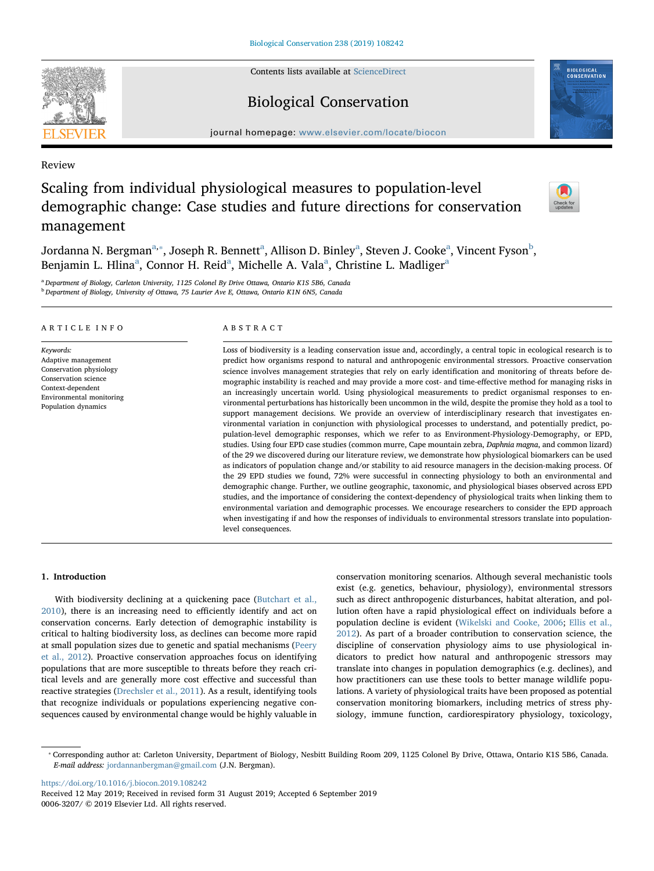

Contents lists available at [ScienceDirect](http://www.sciencedirect.com/science/journal/00063207)

# Biological Conservation



journal homepage: [www.elsevier.com/locate/biocon](https://www.elsevier.com/locate/biocon)

Review

# Scaling from individual physiological measures to population-level demographic change: Case studies and future directions for conservation management



Jord[a](#page-0-0)nna N. Bergman $^{\rm a, *},$  Joseph R. Bennett $^{\rm a}$ , Allison D. Binley $^{\rm a}$ , Steven J. Cooke $^{\rm a}$ , Vincent Fyson $^{\rm b}$  $^{\rm b}$  $^{\rm b}$ , Benj[a](#page-0-0)min L. Hlina<sup>a</sup>, Connor H. Reid<sup>a</sup>, Michelle A. Vala<sup>a</sup>, Christine L. Madliger<sup>a</sup>

<span id="page-0-2"></span><span id="page-0-0"></span><sup>a</sup> Department of Biology, Carleton University, 1125 Colonel By Drive Ottawa, Ontario K1S 5B6, Canada <sup>b</sup> Department of Biology, University of Ottawa, 75 Laurier Ave E, Ottawa, Ontario K1N 6N5, Canada

### ARTICLE INFO

Keywords: Adaptive management Conservation physiology Conservation science Context-dependent Environmental monitoring Population dynamics

### ABSTRACT

Loss of biodiversity is a leading conservation issue and, accordingly, a central topic in ecological research is to predict how organisms respond to natural and anthropogenic environmental stressors. Proactive conservation science involves management strategies that rely on early identification and monitoring of threats before demographic instability is reached and may provide a more cost- and time-effective method for managing risks in an increasingly uncertain world. Using physiological measurements to predict organismal responses to environmental perturbations has historically been uncommon in the wild, despite the promise they hold as a tool to support management decisions. We provide an overview of interdisciplinary research that investigates environmental variation in conjunction with physiological processes to understand, and potentially predict, population-level demographic responses, which we refer to as Environment-Physiology-Demography, or EPD, studies. Using four EPD case studies (common murre, Cape mountain zebra, Daphnia magna, and common lizard) of the 29 we discovered during our literature review, we demonstrate how physiological biomarkers can be used as indicators of population change and/or stability to aid resource managers in the decision-making process. Of the 29 EPD studies we found, 72% were successful in connecting physiology to both an environmental and demographic change. Further, we outline geographic, taxonomic, and physiological biases observed across EPD studies, and the importance of considering the context-dependency of physiological traits when linking them to environmental variation and demographic processes. We encourage researchers to consider the EPD approach when investigating if and how the responses of individuals to environmental stressors translate into populationlevel consequences.

### 1. Introduction

With biodiversity declining at a quickening pace [\(Butchart et al.,](#page-10-0) [2010\)](#page-10-0), there is an increasing need to efficiently identify and act on conservation concerns. Early detection of demographic instability is critical to halting biodiversity loss, as declines can become more rapid at small population sizes due to genetic and spatial mechanisms ([Peery](#page-11-0) [et al., 2012\)](#page-11-0). Proactive conservation approaches focus on identifying populations that are more susceptible to threats before they reach critical levels and are generally more cost effective and successful than reactive strategies ([Drechsler et al., 2011](#page-10-1)). As a result, identifying tools that recognize individuals or populations experiencing negative consequences caused by environmental change would be highly valuable in conservation monitoring scenarios. Although several mechanistic tools exist (e.g. genetics, behaviour, physiology), environmental stressors such as direct anthropogenic disturbances, habitat alteration, and pollution often have a rapid physiological effect on individuals before a population decline is evident ([Wikelski and Cooke, 2006](#page-12-0); [Ellis et al.,](#page-10-2) [2012\)](#page-10-2). As part of a broader contribution to conservation science, the discipline of conservation physiology aims to use physiological indicators to predict how natural and anthropogenic stressors may translate into changes in population demographics (e.g. declines), and how practitioners can use these tools to better manage wildlife populations. A variety of physiological traits have been proposed as potential conservation monitoring biomarkers, including metrics of stress physiology, immune function, cardiorespiratory physiology, toxicology,

<https://doi.org/10.1016/j.biocon.2019.108242>

<span id="page-0-1"></span><sup>⁎</sup> Corresponding author at: Carleton University, Department of Biology, Nesbitt Building Room 209, 1125 Colonel By Drive, Ottawa, Ontario K1S 5B6, Canada. E-mail address: [jordannanbergman@gmail.com](mailto:jordannanbergman@gmail.com) (J.N. Bergman).

Received 12 May 2019; Received in revised form 31 August 2019; Accepted 6 September 2019 0006-3207/ © 2019 Elsevier Ltd. All rights reserved.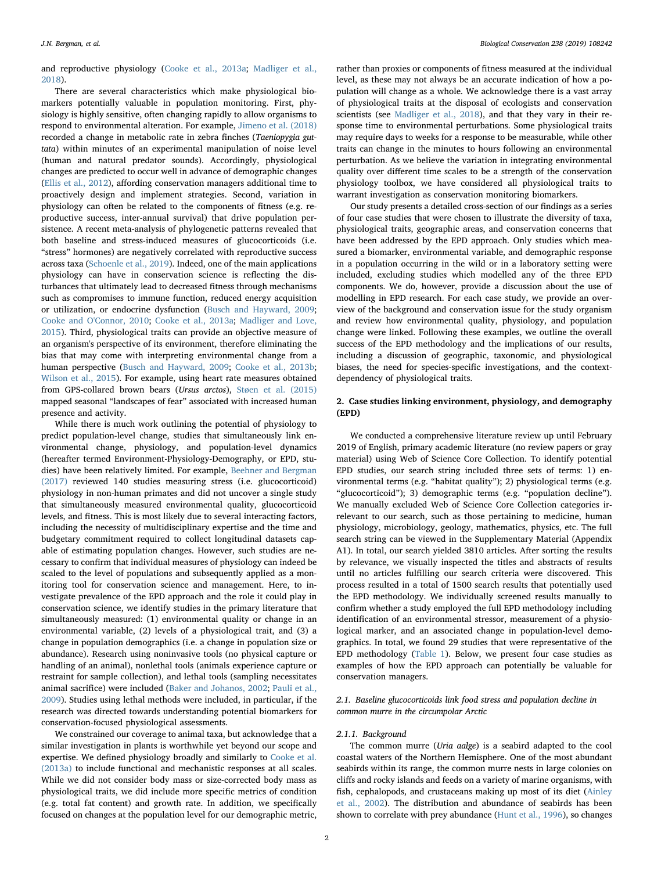and reproductive physiology ([Cooke et al., 2013a](#page-10-3); [Madliger et al.,](#page-11-1) [2018\)](#page-11-1).

There are several characteristics which make physiological biomarkers potentially valuable in population monitoring. First, physiology is highly sensitive, often changing rapidly to allow organisms to respond to environmental alteration. For example, [Jimeno et al. \(2018\)](#page-11-2) recorded a change in metabolic rate in zebra finches (Taeniopygia guttata) within minutes of an experimental manipulation of noise level (human and natural predator sounds). Accordingly, physiological changes are predicted to occur well in advance of demographic changes ([Ellis et al., 2012\)](#page-10-2), affording conservation managers additional time to proactively design and implement strategies. Second, variation in physiology can often be related to the components of fitness (e.g. reproductive success, inter-annual survival) that drive population persistence. A recent meta-analysis of phylogenetic patterns revealed that both baseline and stress-induced measures of glucocorticoids (i.e. "stress" hormones) are negatively correlated with reproductive success across taxa [\(Schoenle et al., 2019\)](#page-12-1). Indeed, one of the main applications physiology can have in conservation science is reflecting the disturbances that ultimately lead to decreased fitness through mechanisms such as compromises to immune function, reduced energy acquisition or utilization, or endocrine dysfunction ([Busch and Hayward, 2009](#page-10-4); [Cooke and O'Connor, 2010;](#page-10-5) [Cooke et al., 2013a;](#page-10-3) [Madliger and Love,](#page-11-3) [2015\)](#page-11-3). Third, physiological traits can provide an objective measure of an organism's perspective of its environment, therefore eliminating the bias that may come with interpreting environmental change from a human perspective [\(Busch and Hayward, 2009;](#page-10-4) [Cooke et al., 2013b](#page-10-6); [Wilson et al., 2015\)](#page-12-2). For example, using heart rate measures obtained from GPS-collared brown bears (Ursus arctos), [Støen et al. \(2015\)](#page-12-3) mapped seasonal "landscapes of fear" associated with increased human presence and activity.

While there is much work outlining the potential of physiology to predict population-level change, studies that simultaneously link environmental change, physiology, and population-level dynamics (hereafter termed Environment-Physiology-Demography, or EPD, studies) have been relatively limited. For example, [Beehner and Bergman](#page-10-7) [\(2017\)](#page-10-7) reviewed 140 studies measuring stress (i.e. glucocorticoid) physiology in non-human primates and did not uncover a single study that simultaneously measured environmental quality, glucocorticoid levels, and fitness. This is most likely due to several interacting factors, including the necessity of multidisciplinary expertise and the time and budgetary commitment required to collect longitudinal datasets capable of estimating population changes. However, such studies are necessary to confirm that individual measures of physiology can indeed be scaled to the level of populations and subsequently applied as a monitoring tool for conservation science and management. Here, to investigate prevalence of the EPD approach and the role it could play in conservation science, we identify studies in the primary literature that simultaneously measured: (1) environmental quality or change in an environmental variable, (2) levels of a physiological trait, and (3) a change in population demographics (i.e. a change in population size or abundance). Research using noninvasive tools (no physical capture or handling of an animal), nonlethal tools (animals experience capture or restraint for sample collection), and lethal tools (sampling necessitates animal sacrifice) were included [\(Baker and Johanos, 2002;](#page-9-0) [Pauli et al.,](#page-11-4) [2009\)](#page-11-4). Studies using lethal methods were included, in particular, if the research was directed towards understanding potential biomarkers for conservation-focused physiological assessments.

We constrained our coverage to animal taxa, but acknowledge that a similar investigation in plants is worthwhile yet beyond our scope and expertise. We defined physiology broadly and similarly to [Cooke et al.](#page-10-3) [\(2013a\)](#page-10-3) to include functional and mechanistic responses at all scales. While we did not consider body mass or size-corrected body mass as physiological traits, we did include more specific metrics of condition (e.g. total fat content) and growth rate. In addition, we specifically focused on changes at the population level for our demographic metric,

rather than proxies or components of fitness measured at the individual level, as these may not always be an accurate indication of how a population will change as a whole. We acknowledge there is a vast array of physiological traits at the disposal of ecologists and conservation scientists (see [Madliger et al., 2018\)](#page-11-1), and that they vary in their response time to environmental perturbations. Some physiological traits may require days to weeks for a response to be measurable, while other traits can change in the minutes to hours following an environmental perturbation. As we believe the variation in integrating environmental quality over different time scales to be a strength of the conservation physiology toolbox, we have considered all physiological traits to warrant investigation as conservation monitoring biomarkers.

Our study presents a detailed cross-section of our findings as a series of four case studies that were chosen to illustrate the diversity of taxa, physiological traits, geographic areas, and conservation concerns that have been addressed by the EPD approach. Only studies which measured a biomarker, environmental variable, and demographic response in a population occurring in the wild or in a laboratory setting were included, excluding studies which modelled any of the three EPD components. We do, however, provide a discussion about the use of modelling in EPD research. For each case study, we provide an overview of the background and conservation issue for the study organism and review how environmental quality, physiology, and population change were linked. Following these examples, we outline the overall success of the EPD methodology and the implications of our results, including a discussion of geographic, taxonomic, and physiological biases, the need for species-specific investigations, and the contextdependency of physiological traits.

### 2. Case studies linking environment, physiology, and demography (EPD)

We conducted a comprehensive literature review up until February 2019 of English, primary academic literature (no review papers or gray material) using Web of Science Core Collection. To identify potential EPD studies, our search string included three sets of terms: 1) environmental terms (e.g. "habitat quality"); 2) physiological terms (e.g. "glucocorticoid"); 3) demographic terms (e.g. "population decline"). We manually excluded Web of Science Core Collection categories irrelevant to our search, such as those pertaining to medicine, human physiology, microbiology, geology, mathematics, physics, etc. The full search string can be viewed in the Supplementary Material (Appendix A1). In total, our search yielded 3810 articles. After sorting the results by relevance, we visually inspected the titles and abstracts of results until no articles fulfilling our search criteria were discovered. This process resulted in a total of 1500 search results that potentially used the EPD methodology. We individually screened results manually to confirm whether a study employed the full EPD methodology including identification of an environmental stressor, measurement of a physiological marker, and an associated change in population-level demographics. In total, we found 29 studies that were representative of the EPD methodology [\(Table 1\)](#page-2-0). Below, we present four case studies as examples of how the EPD approach can potentially be valuable for conservation managers.

### 2.1. Baseline glucocorticoids link food stress and population decline in common murre in the circumpolar Arctic

### 2.1.1. Background

The common murre (Uria aalge) is a seabird adapted to the cool coastal waters of the Northern Hemisphere. One of the most abundant seabirds within its range, the common murre nests in large colonies on cliffs and rocky islands and feeds on a variety of marine organisms, with fish, cephalopods, and crustaceans making up most of its diet ([Ainley](#page-9-1) [et al., 2002](#page-9-1)). The distribution and abundance of seabirds has been shown to correlate with prey abundance [\(Hunt et al., 1996\)](#page-11-5), so changes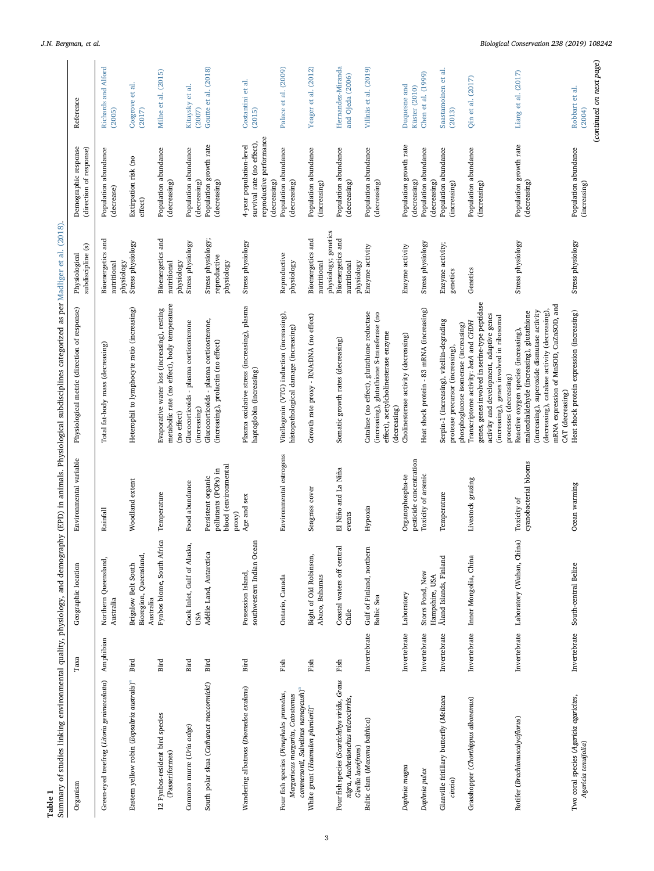<span id="page-2-0"></span>

| Table 1                                                                                                                         |              |                                                            |                                                                                         | Summary of studies linking environmental quality, physiology, and demography (EPD) in animals. Physiological subdisciplines categorized as per Madliger et al. (2018)                                                                            |                                                          |                                                                                                   |                                                      |
|---------------------------------------------------------------------------------------------------------------------------------|--------------|------------------------------------------------------------|-----------------------------------------------------------------------------------------|--------------------------------------------------------------------------------------------------------------------------------------------------------------------------------------------------------------------------------------------------|----------------------------------------------------------|---------------------------------------------------------------------------------------------------|------------------------------------------------------|
| Organism                                                                                                                        | Таха         | Geographic location                                        | Environmental variable                                                                  | Physiological metric (direction of response)                                                                                                                                                                                                     | subdiscipline (s)<br>Physiological                       | Demographic response<br>(direction of response)                                                   | Reference                                            |
| Green-eyed treefrog (Litoria genimaculatta)                                                                                     | Amphibian    | Northern Queensland,<br>Australia                          | Rainfall                                                                                | Total fat-body mass (decreasing)                                                                                                                                                                                                                 | Bioenergetics and<br>nutritional<br>physiology           | Population abundance<br>(decrease)                                                                | <b>Richards and Alford</b><br>(2005)                 |
| Eastern yellow robin (Eopsaltria australis) <sup>a</sup>                                                                        | Bird         | Bioregion, Queensland,<br>Brigalow Belt South<br>Australia | Woodland extent                                                                         | Heterophil to lymphocyte ratio (increasing)                                                                                                                                                                                                      | Stress physiology                                        | Extirpation risk (no<br>effect)                                                                   | Cosgrove et al.<br>(2017)                            |
| 12 Fynbos-resident bird species<br>(Passeriformes)                                                                              | Bird         | ica<br>Fynbos biome, South Afr                             | Temperature                                                                             | metabolic rate (no effect), body temperature<br>Evaporative water loss (increasing), resting<br>(no effect)                                                                                                                                      | Bioenergetics and<br>nutritional<br>physiology           | Population abundance<br>(decreasing)                                                              | Milne et al. (2015)                                  |
| Common murre (Uria aalge)                                                                                                       | Bird         | Cook Inlet, Gulf of Alaska,<br>USA                         | Food abundance                                                                          | Glucocorticoids - plasma corticosterone<br>(increasing)                                                                                                                                                                                          | Stress physiology                                        | Population abundance<br>(decreasing)                                                              | Kitaysky et al.<br>(2007)                            |
| South polar skua (Catharact maccormicki)                                                                                        | Bird         | Adélie Land, Antarctica                                    | blood (environmental<br>pollutants (POPs) in<br>Persistent organic<br>prox <sub>y</sub> | Glucocorticoids - plasma corticosterone,<br>(increasing), prolactin (no effect)                                                                                                                                                                  | Stress physiology;<br>reproductive<br>physiology         | Population growth rate<br>(decreasing)                                                            | Goutte et al. (2018)                                 |
| Wandering albatross (Diomedea exulans)                                                                                          | Bird         | southwestern Indian Ocean<br>Possession Island,            | Age and sex                                                                             | Plasma oxidative stress (increasing), plasma<br>haptoglobin (increasing)                                                                                                                                                                         | Stress physiology                                        | reproductive performance<br>survival rate (no effect),<br>4-year population-level<br>(decreasing) | Costantini et al.<br>(2015)                          |
| commersonii, Salvelinus namaycush) <sup>a</sup><br>Four fish species (Pimephales promelas,<br>Margariscus margarita, Catostomus | Fish         | Ontario, Canada                                            | Environmental estrogens                                                                 | Vitellogenin (VTG) induction (increasing),<br>histopathological damage (increasing)                                                                                                                                                              | Reproductive<br>physiology                               | Population abundance<br>(decreasing)                                                              | Palace et al. (2009)                                 |
| White grunt (Haemulon plumierii) <sup>a</sup>                                                                                   | Fish         | Bight of Old Robinson,<br>Abaco, Bahamas                   | Seagrass cover                                                                          | Growth rate proxy - RNA:DNA (no effect)                                                                                                                                                                                                          | physiology; genetics<br>Bioenergetics and<br>nutritional | Population abundance<br>(increasing)                                                              | Yeager et al. (2012)                                 |
| Four fish species (Scartichthys viridis, Graus<br>nigra, Auchenionchus microcirrhis,<br>Girella laevifrons)                     | Fish         | Coastal waters off central<br>Chile                        | El Niño and La Niña<br>events                                                           | Somatic growth rates (decreasing)                                                                                                                                                                                                                | Bioenergetics and<br>nutritional<br>physiology           | Population abundance<br>(decreasing)                                                              | Hernandez-Miranda<br>and Ojeda (2006)                |
| Baltic clam (Macoma balthica)                                                                                                   | Invertebrate | Gulf of Finland, northern<br><b>Baltic</b> Sea             | Hypoxia                                                                                 | Catalase (no effect), glutathione reductase<br>(increasing), glutathione S-transferase (no<br>effect), acetylcholinesterase enzyme<br>(decreasing)                                                                                               | Enzyme activity                                          | Population abundance<br>(decreasing)                                                              | Villnäs et al. (2019)                                |
| Daphnia magna                                                                                                                   | Invertebrate | Laboratory                                                 | pesticide concentration<br>Organophospha-te                                             | Cholinesterase activity (decreasing)                                                                                                                                                                                                             | Enzyme activity                                          | Population growth rate<br>(decreasing)                                                            | Duquesne and<br>Küster (2010)                        |
| Daphnia pulex                                                                                                                   | Invertebrate | Storrs Pond, New<br>Hampshire, USA                         | Toxicity of arsenic                                                                     | Heat shock protein - 83 mRNA (increasing)                                                                                                                                                                                                        | Stress physiology                                        | Population abundance<br>(decreasing)                                                              | Chen et al. (1999)                                   |
| Glanville fritillary butterfly (Melitaea<br>cinxia)                                                                             | Invertebrate | Åland Islands, Finland                                     | Temperature                                                                             | Serpin-1 (increasing), vitellin-degrading<br>phosphoglucose isomerase (increasing)<br>protease precursor (increasing),                                                                                                                           | Enzyme activity;<br>genetics                             | Population abundance<br>(increasing)                                                              | Saastamoinen et al.<br>(2013)                        |
| Grasshopper (Chorthippus albonemus)                                                                                             | Invertebrate | Inner Mongolia, China                                      | Livestock grazing                                                                       | genes, genes involved in serine-type peptidase<br>activity and development, adaptive genes<br>(increasing), genes involved in ribosomal<br>Transcriptome activity: betA and CHDH<br>processes (decreasing)                                       | Genetics                                                 | Population abundance<br>(increasing)                                                              | Qin et al. (2017)                                    |
| Rotifer (Brachionuscalyciflorus)                                                                                                | Invertebrate | Laboratory (Wuhan, China)                                  | cyanobacterial blooms<br>Toxicity of                                                    | mRNA expression of MnSOD, CuZnSOD, and<br>(increasing), superoxide dismutase activity<br>(decreasing), catalase activity (decreasing),<br>malondialdehyde (increasing), glutathione<br>Reactive oxygen species (increasing),<br>CAT (decreasing) | Stress physiology                                        | Population growth rate<br>(decreasing)                                                            | Liang et al. (2017)                                  |
| Two coral species (Agaricia agaricites,<br>Agaricia tenuifolia)                                                                 | Invertebrate | South-central Belize                                       | Ocean warming                                                                           | Heat shock protein expression (increasing)                                                                                                                                                                                                       | Stress physiology                                        | Population abundance<br>(increasing)                                                              | (continued on next page)<br>Robbart et al.<br>(2004) |

## J.N. Bergman, et al. *Biological Conservation 238 (2019) 108242*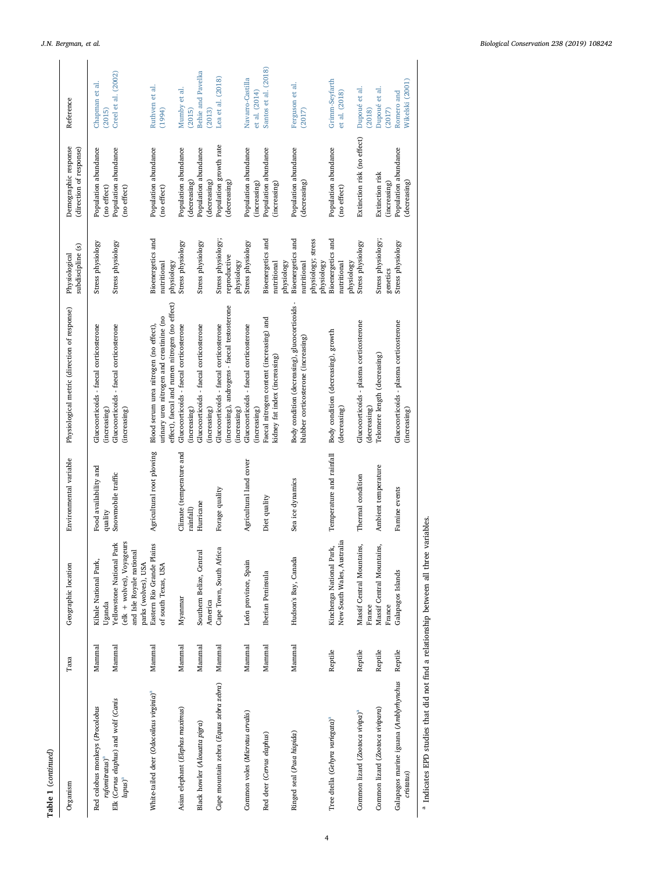| a<br>2 |  |
|--------|--|

<span id="page-3-0"></span>

| Reference                                       | Creel et al. (2002)<br>Chapman et al.<br>(2015)                                                                                                   | Ruthven et al.<br>(1994)                                                                                                             | <b>Behie</b> and Pavelka<br>Mumby et al.<br>(2015)                                                 | Lea et al. (2018)<br>(2013)                                                                                              | Navarro-Castilla<br>et al. (2014)                       | Santos et al. (2018)                                                      | Ferguson et al.<br>(2017)                                                           | Grimm-Seyfarth<br>et al. (2018)                        | Dupoué et al.<br>(2018)                                 | et al.<br>Dupoué<br>(2017)          | Wikelski (2001)<br>Romero and                           |
|-------------------------------------------------|---------------------------------------------------------------------------------------------------------------------------------------------------|--------------------------------------------------------------------------------------------------------------------------------------|----------------------------------------------------------------------------------------------------|--------------------------------------------------------------------------------------------------------------------------|---------------------------------------------------------|---------------------------------------------------------------------------|-------------------------------------------------------------------------------------|--------------------------------------------------------|---------------------------------------------------------|-------------------------------------|---------------------------------------------------------|
| Demographic response<br>(direction of response) | Population abundance<br>Population abundance<br>(no effect)<br>(no effect)                                                                        | Population abundance<br>(no effect)                                                                                                  | Population abundance<br>Population abundance<br>(decreasing)                                       | Population growth rate<br>(decreasing)<br>(decreasing)                                                                   | Population abundance<br>(increasing)                    | Population abundance<br>(increasing)                                      | Population abundance<br>(decreasing)                                                | Population abundance<br>(no effect)                    | Extinction risk (no effect)                             | Extinction risk<br>(increasing)     | Population abundance<br>(decreasing)                    |
| subdiscipline (s)<br>Physiological              | Stress physiology<br>Stress physiology                                                                                                            | Bioenergetics and<br>physiology<br>nutritional                                                                                       | Stress physiology<br>Stress physiology                                                             | Stress physiology;<br>reproductive<br>physiology                                                                         | Stress physiology                                       | Bioenergetics and<br>physiology<br>nutritional                            | Bioenergetics and<br>physiology; stress<br>physiology<br>nutritional                | Bioenergetics and<br>nutritional<br>physiology         | Stress physiology                                       | Stress physiology;<br>genetics      | Stress physiology                                       |
| Physiological metric (direction of response)    | Glucocorticoids - faecal corticosterone<br>Glucocorticoids - faecal corticosterone<br>(increasing)<br>(increasing)                                | effect), faecal and rumen nitrogen (no effect)<br>urinary urea nitrogen and creatinine (no<br>Blood serum urea nitrogen (no effect), | Glucocorticoids - faecal corticosterone<br>Glucocorticoids - faecal corticosterone<br>(increasing) | (increasing), androgens - faecal testosterone<br>Glucocorticoids - faecal corticosterone<br>(increasing)<br>(increasing) | Glucocorticoids - faecal corticosterone<br>(increasing) | Faecal nitrogen content (increasing) and<br>kidney fat index (increasing) | Body condition (decreasing), glucocorticoids<br>blubber corticosterone (increasing) | Body condition (decreasing), growth<br>(decreasing)    | Glucocorticoids - plasma corticosterone<br>(decreasing) | Telomere length (decreasing)        | Glucocorticoids - plasma corticosterone<br>(increasing) |
| Environmental variable                          | Food availability and<br>Snowmobile traffic<br>quality                                                                                            | Agricultural root plowing                                                                                                            | Climate (temperature and<br>Hurricane<br>rainfall)                                                 | Forage quality                                                                                                           | Agricultural land cover                                 | Diet quality                                                              | Sea ice dynamics                                                                    | Temperature and rainfall                               | Thermal condition                                       | Ambient temperature                 | Famine events                                           |
| Geographic location                             | (elk + wolves), Voyageurs<br>hark<br>and Isle Royale national<br>Yellowstone National P<br>Kibale National Park,<br>parks (wolves), USA<br>Uganda | Eastern Rio Grande Plains<br>of south Texas, USA                                                                                     | Southern Belize, Central<br>Myanmar                                                                | Cape Town, South Africa<br>America                                                                                       | León province, Spain                                    | Iberian Peninsula                                                         | Hudson's Bay, Canada                                                                | New South Wales, Australia<br>Kinchenga National Park, | ins,<br>Massif Central Mountai<br>France                | Massif Central Mountains,<br>France | Galapagos Islands                                       |
| Таха                                            | Mammal<br>Mammal                                                                                                                                  | Mammal                                                                                                                               | Mammal<br>Mammal                                                                                   | Mammal                                                                                                                   | Mammal                                                  | Mammal                                                                    | Mammal                                                                              | Reptile                                                | Reptile                                                 | Reptile                             | Reptile                                                 |
| Organism                                        | Elk (Cervus elaphus) and wolf (Canis<br>Red colobus monkeys (Procolobus<br>rufomitratus) <sup>a</sup><br>$lupus$ <sup>a</sup>                     | White-tailed deer (Odocoileus virginia) <sup>ª</sup>                                                                                 | Asian elephant (Elephas maximus)<br>Black howler (Alouatta pigra)                                  | Cape mountain zebra (Equus zebra zebra)                                                                                  | Common voles (Microtus arvalis)                         | Red deer (Cervus elaphus)                                                 | Ringed seal (Pusa hispida)                                                          | Tree dtella (Gehyra variegata) <sup>ª</sup>            | Common lizard (Zootoca vivipa) <sup>a</sup>             | Common lizard (Zootoca vivipara)    | Galapagos marine iguana (Amblyrhynchus<br>cristatus)    |

Indicates EPD studies that did not find a relationship between all three variables. Indicates EPD studies that did not find a relationship between all three variables.

4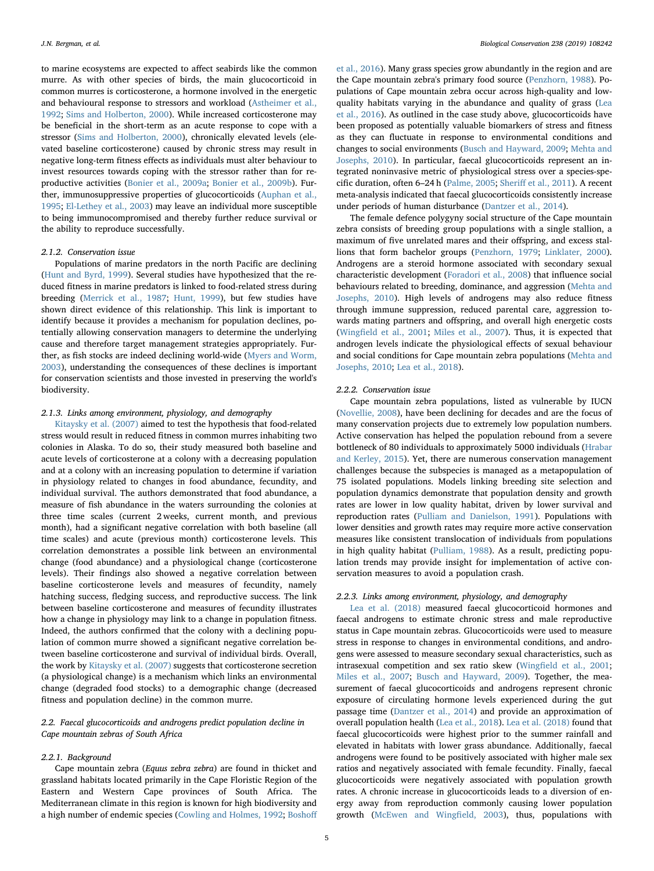to marine ecosystems are expected to affect seabirds like the common murre. As with other species of birds, the main glucocorticoid in common murres is corticosterone, a hormone involved in the energetic and behavioural response to stressors and workload [\(Astheimer et al.,](#page-9-2) [1992;](#page-9-2) [Sims and Holberton, 2000\)](#page-12-11). While increased corticosterone may be beneficial in the short-term as an acute response to cope with a stressor ([Sims and Holberton, 2000\)](#page-12-11), chronically elevated levels (elevated baseline corticosterone) caused by chronic stress may result in negative long-term fitness effects as individuals must alter behaviour to invest resources towards coping with the stressor rather than for reproductive activities [\(Bonier et al., 2009a](#page-10-21); [Bonier et al., 2009b\)](#page-10-22). Further, immunosuppressive properties of glucocorticoids ([Auphan et al.,](#page-9-3) [1995;](#page-9-3) [El-Lethey et al., 2003](#page-10-23)) may leave an individual more susceptible to being immunocompromised and thereby further reduce survival or the ability to reproduce successfully.

### 2.1.2. Conservation issue

Populations of marine predators in the north Pacific are declining ([Hunt and Byrd, 1999](#page-11-15)). Several studies have hypothesized that the reduced fitness in marine predators is linked to food-related stress during breeding ([Merrick et al., 1987;](#page-11-16) [Hunt, 1999\)](#page-10-24), but few studies have shown direct evidence of this relationship. This link is important to identify because it provides a mechanism for population declines, potentially allowing conservation managers to determine the underlying cause and therefore target management strategies appropriately. Further, as fish stocks are indeed declining world-wide [\(Myers and Worm,](#page-11-17) [2003\)](#page-11-17), understanding the consequences of these declines is important for conservation scientists and those invested in preserving the world's biodiversity.

#### 2.1.3. Links among environment, physiology, and demography

[Kitaysky et al. \(2007\)](#page-11-8) aimed to test the hypothesis that food-related stress would result in reduced fitness in common murres inhabiting two colonies in Alaska. To do so, their study measured both baseline and acute levels of corticosterone at a colony with a decreasing population and at a colony with an increasing population to determine if variation in physiology related to changes in food abundance, fecundity, and individual survival. The authors demonstrated that food abundance, a measure of fish abundance in the waters surrounding the colonies at three time scales (current 2 weeks, current month, and previous month), had a significant negative correlation with both baseline (all time scales) and acute (previous month) corticosterone levels. This correlation demonstrates a possible link between an environmental change (food abundance) and a physiological change (corticosterone levels). Their findings also showed a negative correlation between baseline corticosterone levels and measures of fecundity, namely hatching success, fledging success, and reproductive success. The link between baseline corticosterone and measures of fecundity illustrates how a change in physiology may link to a change in population fitness. Indeed, the authors confirmed that the colony with a declining population of common murre showed a significant negative correlation between baseline corticosterone and survival of individual birds. Overall, the work by [Kitaysky et al. \(2007\)](#page-11-8) suggests that corticosterone secretion (a physiological change) is a mechanism which links an environmental change (degraded food stocks) to a demographic change (decreased fitness and population decline) in the common murre.

### 2.2. Faecal glucocorticoids and androgens predict population decline in Cape mountain zebras of South Africa

#### 2.2.1. Background

Cape mountain zebra (Equus zebra zebra) are found in thicket and grassland habitats located primarily in the Cape Floristic Region of the Eastern and Western Cape provinces of South Africa. The Mediterranean climate in this region is known for high biodiversity and a high number of endemic species [\(Cowling and Holmes, 1992;](#page-10-25) [Bosho](#page-10-26)ff

[et al., 2016](#page-10-26)). Many grass species grow abundantly in the region and are the Cape mountain zebra's primary food source ([Penzhorn, 1988](#page-11-18)). Populations of Cape mountain zebra occur across high-quality and lowquality habitats varying in the abundance and quality of grass [\(Lea](#page-11-19) [et al., 2016\)](#page-11-19). As outlined in the case study above, glucocorticoids have been proposed as potentially valuable biomarkers of stress and fitness as they can fluctuate in response to environmental conditions and changes to social environments [\(Busch and Hayward, 2009](#page-10-4); [Mehta and](#page-11-20) [Josephs, 2010\)](#page-11-20). In particular, faecal glucocorticoids represent an integrated noninvasive metric of physiological stress over a species-specific duration, often 6–24 h [\(Palme, 2005](#page-11-21); Sheriff [et al., 2011\)](#page-12-12). A recent meta-analysis indicated that faecal glucocorticoids consistently increase under periods of human disturbance ([Dantzer et al., 2014\)](#page-10-27).

The female defence polygyny social structure of the Cape mountain zebra consists of breeding group populations with a single stallion, a maximum of five unrelated mares and their offspring, and excess stallions that form bachelor groups [\(Penzhorn, 1979](#page-11-22); [Linklater, 2000](#page-11-23)). Androgens are a steroid hormone associated with secondary sexual characteristic development ([Foradori et al., 2008\)](#page-10-28) that influence social behaviours related to breeding, dominance, and aggression [\(Mehta and](#page-11-20) [Josephs, 2010](#page-11-20)). High levels of androgens may also reduce fitness through immune suppression, reduced parental care, aggression towards mating partners and offspring, and overall high energetic costs (Wingfi[eld et al., 2001;](#page-12-13) [Miles et al., 2007](#page-11-24)). Thus, it is expected that androgen levels indicate the physiological effects of sexual behaviour and social conditions for Cape mountain zebra populations [\(Mehta and](#page-11-20) [Josephs, 2010;](#page-11-20) Lea [et al., 2018](#page-11-13)).

#### 2.2.2. Conservation issue

Cape mountain zebra populations, listed as vulnerable by IUCN ([Novellie, 2008\)](#page-11-25), have been declining for decades and are the focus of many conservation projects due to extremely low population numbers. Active conservation has helped the population rebound from a severe bottleneck of 80 individuals to approximately 5000 individuals ([Hrabar](#page-10-29) [and Kerley, 2015\)](#page-10-29). Yet, there are numerous conservation management challenges because the subspecies is managed as a metapopulation of 75 isolated populations. Models linking breeding site selection and population dynamics demonstrate that population density and growth rates are lower in low quality habitat, driven by lower survival and reproduction rates [\(Pulliam and Danielson, 1991](#page-11-26)). Populations with lower densities and growth rates may require more active conservation measures like consistent translocation of individuals from populations in high quality habitat ([Pulliam, 1988](#page-11-27)). As a result, predicting population trends may provide insight for implementation of active conservation measures to avoid a population crash.

#### 2.2.3. Links among environment, physiology, and demography

[Lea et al. \(2018\)](#page-11-13) measured faecal glucocorticoid hormones and faecal androgens to estimate chronic stress and male reproductive status in Cape mountain zebras. Glucocorticoids were used to measure stress in response to changes in environmental conditions, and androgens were assessed to measure secondary sexual characteristics, such as intrasexual competition and sex ratio skew (Wingfi[eld et al., 2001](#page-12-13); [Miles et al., 2007](#page-11-24); [Busch and Hayward, 2009\)](#page-10-4). Together, the measurement of faecal glucocorticoids and androgens represent chronic exposure of circulating hormone levels experienced during the gut passage time ([Dantzer et al., 2014](#page-10-27)) and provide an approximation of overall population health [\(Lea et al., 2018](#page-11-13)). [Lea et al. \(2018\)](#page-11-13) found that faecal glucocorticoids were highest prior to the summer rainfall and elevated in habitats with lower grass abundance. Additionally, faecal androgens were found to be positively associated with higher male sex ratios and negatively associated with female fecundity. Finally, faecal glucocorticoids were negatively associated with population growth rates. A chronic increase in glucocorticoids leads to a diversion of energy away from reproduction commonly causing lower population growth [\(McEwen and Wing](#page-11-28)field, 2003), thus, populations with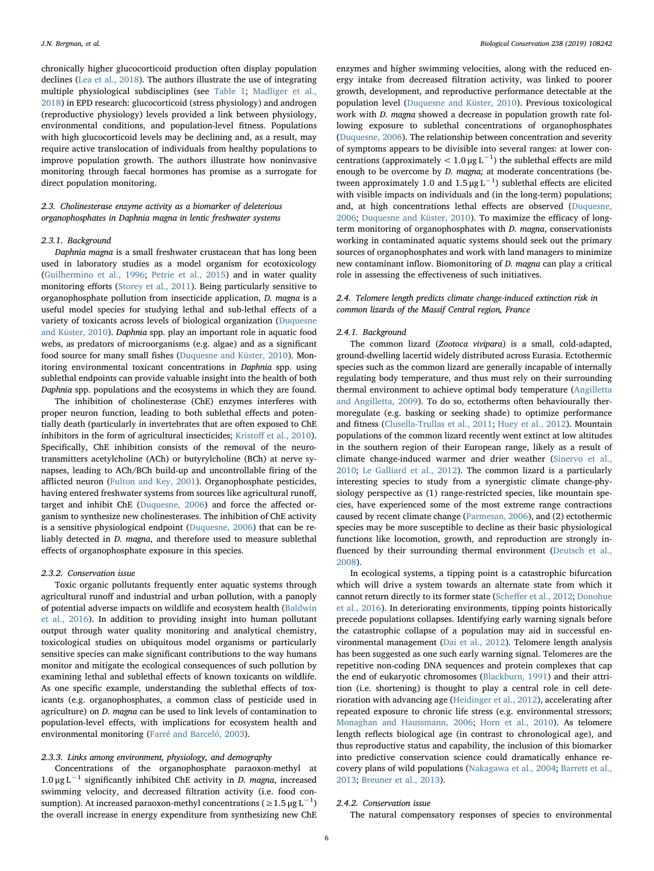chronically higher glucocorticoid production often display population declines ([Lea et al., 2018\)](#page-11-13). The authors illustrate the use of integrating multiple physiological subdisciplines (see [Table 1;](#page-2-0) [Madliger et al.,](#page-11-1) [2018\)](#page-11-1) in EPD research: glucocorticoid (stress physiology) and androgen (reproductive physiology) levels provided a link between physiology, environmental conditions, and population-level fitness. Populations with high glucocorticoid levels may be declining and, as a result, may require active translocation of individuals from healthy populations to improve population growth. The authors illustrate how noninvasive monitoring through faecal hormones has promise as a surrogate for direct population monitoring.

### 2.3. Cholinesterase enzyme activity as a biomarker of deleterious organophosphates in Daphnia magna in lentic freshwater systems

### 2.3.1. Background

Daphnia magna is a small freshwater crustacean that has long been used in laboratory studies as a model organism for ecotoxicology ([Guilhermino et al., 1996](#page-10-30); [Petrie et al., 2015\)](#page-11-29) and in water quality monitoring efforts ([Storey et al., 2011\)](#page-12-14). Being particularly sensitive to organophosphate pollution from insecticide application, D. magna is a useful model species for studying lethal and sub-lethal effects of a variety of toxicants across levels of biological organization [\(Duquesne](#page-10-12) [and Küster, 2010](#page-10-12)). Daphnia spp. play an important role in aquatic food webs, as predators of microorganisms (e.g. algae) and as a significant food source for many small fishes ([Duquesne and Küster, 2010](#page-10-12)). Monitoring environmental toxicant concentrations in Daphnia spp. using sublethal endpoints can provide valuable insight into the health of both Daphnia spp. populations and the ecosystems in which they are found.

The inhibition of cholinesterase (ChE) enzymes interferes with proper neuron function, leading to both sublethal effects and potentially death (particularly in invertebrates that are often exposed to ChE inhibitors in the form of agricultural insecticides; Kristoff [et al., 2010](#page-11-30)). Specifically, ChE inhibition consists of the removal of the neurotransmitters acetylcholine (ACh) or butyrylcholine (BCh) at nerve synapses, leading to ACh/BCh build-up and uncontrollable firing of the afflicted neuron [\(Fulton and Key, 2001\)](#page-10-31). Organophosphate pesticides, having entered freshwater systems from sources like agricultural runoff, target and inhibit ChE ([Duquesne, 2006](#page-10-32)) and force the affected organism to synthesize new cholinesterases. The inhibition of ChE activity is a sensitive physiological endpoint ([Duquesne, 2006](#page-10-32)) that can be reliably detected in D. magna, and therefore used to measure sublethal effects of organophosphate exposure in this species.

### 2.3.2. Conservation issue

Toxic organic pollutants frequently enter aquatic systems through agricultural runoff and industrial and urban pollution, with a panoply of potential adverse impacts on wildlife and ecosystem health ([Baldwin](#page-9-4) [et al., 2016\)](#page-9-4). In addition to providing insight into human pollutant output through water quality monitoring and analytical chemistry, toxicological studies on ubiquitous model organisms or particularly sensitive species can make significant contributions to the way humans monitor and mitigate the ecological consequences of such pollution by examining lethal and sublethal effects of known toxicants on wildlife. As one specific example, understanding the sublethal effects of toxicants (e.g. organophosphates, a common class of pesticide used in agriculture) on D. magna can be used to link levels of contamination to population-level effects, with implications for ecosystem health and environmental monitoring ([Farré and Barceló, 2003\)](#page-10-33).

#### 2.3.3. Links among environment, physiology, and demography

Concentrations of the organophosphate paraoxon-methyl at  $1.0 \mu g L^{-1}$  significantly inhibited ChE activity in D. magna, increased swimming velocity, and decreased filtration activity (i.e. food consumption). At increased paraoxon-methyl concentrations (  $\geq$  1.5 μg L $^{-1}$ ) the overall increase in energy expenditure from synthesizing new ChE

enzymes and higher swimming velocities, along with the reduced energy intake from decreased filtration activity, was linked to poorer growth, development, and reproductive performance detectable at the population level ([Duquesne and Küster, 2010\)](#page-10-12). Previous toxicological work with *D. magna* showed a decrease in population growth rate following exposure to sublethal concentrations of organophosphates ([Duquesne, 2006](#page-10-32)). The relationship between concentration and severity of symptoms appears to be divisible into several ranges: at lower concentrations (approximately <  $1.0 \mu g L^{-1}$ ) the sublethal effects are mild enough to be overcome by *D. magna*; at moderate concentrations (between approximately 1.0 and  $1.5 \mu g L^{-1}$ ) sublethal effects are elicited with visible impacts on individuals and (in the long-term) populations: and, at high concentrations lethal effects are observed ([Duquesne,](#page-10-32) [2006;](#page-10-32) [Duquesne and Küster, 2010\)](#page-10-12). To maximize the efficacy of longterm monitoring of organophosphates with D. magna, conservationists working in contaminated aquatic systems should seek out the primary sources of organophosphates and work with land managers to minimize new contaminant inflow. Biomonitoring of D. magna can play a critical role in assessing the effectiveness of such initiatives.

### 2.4. Telomere length predicts climate change-induced extinction risk in common lizards of the Massif Central region, France

### 2.4.1. Background

The common lizard (Zootoca vivipara) is a small, cold-adapted, ground-dwelling lacertid widely distributed across Eurasia. Ectothermic species such as the common lizard are generally incapable of internally regulating body temperature, and thus must rely on their surrounding thermal environment to achieve optimal body temperature [\(Angilletta](#page-9-5) [and Angilletta, 2009\)](#page-9-5). To do so, ectotherms often behaviourally thermoregulate (e.g. basking or seeking shade) to optimize performance and fitness ([Clusella-Trullas et al., 2011;](#page-10-34) [Huey et al., 2012\)](#page-10-35). Mountain populations of the common lizard recently went extinct at low altitudes in the southern region of their European range, likely as a result of climate change-induced warmer and drier weather [\(Sinervo et al.,](#page-12-15) [2010;](#page-12-15) [Le Galliard et al., 2012\)](#page-11-31). The common lizard is a particularly interesting species to study from a synergistic climate change-physiology perspective as (1) range-restricted species, like mountain species, have experienced some of the most extreme range contractions caused by recent climate change ([Parmesan, 2006](#page-11-32)), and (2) ectothermic species may be more susceptible to decline as their basic physiological functions like locomotion, growth, and reproduction are strongly influenced by their surrounding thermal environment [\(Deutsch et al.,](#page-10-36) [2008\)](#page-10-36).

In ecological systems, a tipping point is a catastrophic bifurcation which will drive a system towards an alternate state from which it cannot return directly to its former state (Scheff[er et al., 2012;](#page-12-16) [Donohue](#page-10-37) [et al., 2016](#page-10-37)). In deteriorating environments, tipping points historically precede populations collapses. Identifying early warning signals before the catastrophic collapse of a population may aid in successful environmental management ([Dai et al., 2012](#page-10-38)). Telomere length analysis has been suggested as one such early warning signal. Telomeres are the repetitive non-coding DNA sequences and protein complexes that cap the end of eukaryotic chromosomes [\(Blackburn, 1991\)](#page-10-39) and their attrition (i.e. shortening) is thought to play a central role in cell deterioration with advancing age ([Heidinger et al., 2012](#page-10-40)), accelerating after repeated exposure to chronic life stress (e.g. environmental stressors; [Monaghan and Haussmann, 2006;](#page-11-33) [Horn et al., 2010](#page-10-41)). As telomere length reflects biological age (in contrast to chronological age), and thus reproductive status and capability, the inclusion of this biomarker into predictive conservation science could dramatically enhance recovery plans of wild populations [\(Nakagawa et al., 2004](#page-11-34); [Barrett et al.,](#page-9-6) [2013;](#page-9-6) [Breuner et al., 2013\)](#page-10-42).

#### 2.4.2. Conservation issue

The natural compensatory responses of species to environmental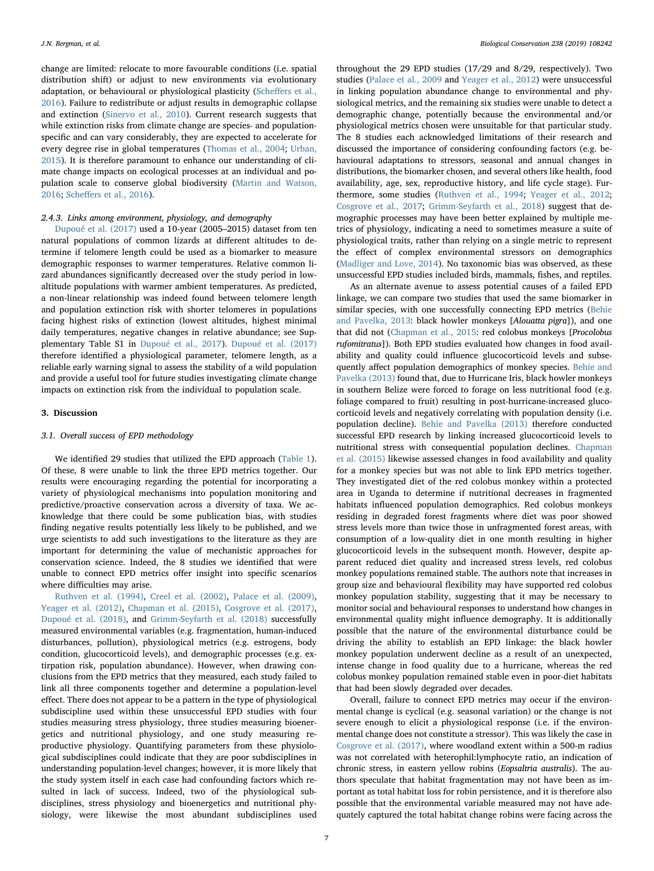change are limited: relocate to more favourable conditions (i.e. spatial distribution shift) or adjust to new environments via evolutionary adaptation, or behavioural or physiological plasticity (Scheff[ers et al.,](#page-12-17) [2016\)](#page-12-17). Failure to redistribute or adjust results in demographic collapse and extinction [\(Sinervo et al., 2010](#page-12-15)). Current research suggests that while extinction risks from climate change are species- and populationspecific and can vary considerably, they are expected to accelerate for every degree rise in global temperatures [\(Thomas et al., 2004;](#page-12-18) [Urban,](#page-12-19) [2015\)](#page-12-19). It is therefore paramount to enhance our understanding of climate change impacts on ecological processes at an individual and population scale to conserve global biodiversity ([Martin and Watson,](#page-11-35) [2016;](#page-11-35) Scheff[ers et al., 2016\)](#page-12-17).

### 2.4.3. Links among environment, physiology, and demography

[Dupoué et al. \(2017\)](#page-10-20) used a 10-year (2005–2015) dataset from ten natural populations of common lizards at different altitudes to determine if telomere length could be used as a biomarker to measure demographic responses to warmer temperatures. Relative common lizard abundances significantly decreased over the study period in lowaltitude populations with warmer ambient temperatures. As predicted, a non-linear relationship was indeed found between telomere length and population extinction risk with shorter telomeres in populations facing highest risks of extinction (lowest altitudes, highest minimal daily temperatures, negative changes in relative abundance; see Supplementary Table S1 in [Dupoué et al., 2017\)](#page-10-20). [Dupoué et al. \(2017\)](#page-10-20) therefore identified a physiological parameter, telomere length, as a reliable early warning signal to assess the stability of a wild population and provide a useful tool for future studies investigating climate change impacts on extinction risk from the individual to population scale.

#### 3. Discussion

### 3.1. Overall success of EPD methodology

We identified 29 studies that utilized the EPD approach ([Table 1](#page-2-0)). Of these, 8 were unable to link the three EPD metrics together. Our results were encouraging regarding the potential for incorporating a variety of physiological mechanisms into population monitoring and predictive/proactive conservation across a diversity of taxa. We acknowledge that there could be some publication bias, with studies finding negative results potentially less likely to be published, and we urge scientists to add such investigations to the literature as they are important for determining the value of mechanistic approaches for conservation science. Indeed, the 8 studies we identified that were unable to connect EPD metrics offer insight into specific scenarios where difficulties may arise.

[Ruthven et al. \(1994\),](#page-12-8) [Creel et al. \(2002\)](#page-10-15), [Palace et al. \(2009\)](#page-11-9), [Yeager et al. \(2012\)](#page-12-4), [Chapman et al. \(2015\)](#page-10-14), [Cosgrove et al. \(2017\)](#page-10-8), [Dupoué et al. \(2018\),](#page-10-19) and [Grimm-Seyfarth et al. \(2018\)](#page-10-18) successfully measured environmental variables (e.g. fragmentation, human-induced disturbances, pollution), physiological metrics (e.g. estrogens, body condition, glucocorticoid levels), and demographic processes (e.g. extirpation risk, population abundance). However, when drawing conclusions from the EPD metrics that they measured, each study failed to link all three components together and determine a population-level effect. There does not appear to be a pattern in the type of physiological subdiscipline used within these unsuccessful EPD studies with four studies measuring stress physiology, three studies measuring bioenergetics and nutritional physiology, and one study measuring reproductive physiology. Quantifying parameters from these physiological subdisciplines could indicate that they are poor subdisciplines in understanding population-level changes; however, it is more likely that the study system itself in each case had confounding factors which resulted in lack of success. Indeed, two of the physiological subdisciplines, stress physiology and bioenergetics and nutritional physiology, were likewise the most abundant subdisciplines used

throughout the 29 EPD studies (17/29 and 8/29, respectively). Two studies ([Palace et al., 2009](#page-11-9) and [Yeager et al., 2012](#page-12-4)) were unsuccessful in linking population abundance change to environmental and physiological metrics, and the remaining six studies were unable to detect a demographic change, potentially because the environmental and/or physiological metrics chosen were unsuitable for that particular study. The 8 studies each acknowledged limitations of their research and discussed the importance of considering confounding factors (e.g. behavioural adaptations to stressors, seasonal and annual changes in distributions, the biomarker chosen, and several others like health, food availability, age, sex, reproductive history, and life cycle stage). Furthermore, some studies [\(Ruthven et al., 1994;](#page-12-8) [Yeager et al., 2012](#page-12-4); [Cosgrove et al., 2017;](#page-10-8) [Grimm-Seyfarth et al., 2018](#page-10-18)) suggest that demographic processes may have been better explained by multiple metrics of physiology, indicating a need to sometimes measure a suite of physiological traits, rather than relying on a single metric to represent the effect of complex environmental stressors on demographics ([Madliger and Love, 2014](#page-11-36)). No taxonomic bias was observed, as these unsuccessful EPD studies included birds, mammals, fishes, and reptiles.

As an alternate avenue to assess potential causes of a failed EPD linkage, we can compare two studies that used the same biomarker in similar species, with one successfully connecting EPD metrics ([Behie](#page-10-16) [and Pavelka, 2013](#page-10-16): black howler monkeys [Alouatta pigra]), and one that did not ([Chapman et al., 2015:](#page-10-14) red colobus monkeys [Procolobus rufomitratus]). Both EPD studies evaluated how changes in food availability and quality could influence glucocorticoid levels and subsequently affect population demographics of monkey species. [Behie and](#page-10-16) [Pavelka \(2013\)](#page-10-16) found that, due to Hurricane Iris, black howler monkeys in southern Belize were forced to forage on less nutritional food (e.g. foliage compared to fruit) resulting in post-hurricane-increased glucocorticoid levels and negatively correlating with population density (i.e. population decline). [Behie and Pavelka \(2013\)](#page-10-16) therefore conducted successful EPD research by linking increased glucocorticoid levels to nutritional stress with consequential population declines. [Chapman](#page-10-14) [et al. \(2015\)](#page-10-14) likewise assessed changes in food availability and quality for a monkey species but was not able to link EPD metrics together. They investigated diet of the red colobus monkey within a protected area in Uganda to determine if nutritional decreases in fragmented habitats influenced population demographics. Red colobus monkeys residing in degraded forest fragments where diet was poor showed stress levels more than twice those in unfragmented forest areas, with consumption of a low-quality diet in one month resulting in higher glucocorticoid levels in the subsequent month. However, despite apparent reduced diet quality and increased stress levels, red colobus monkey populations remained stable. The authors note that increases in group size and behavioural flexibility may have supported red colobus monkey population stability, suggesting that it may be necessary to monitor social and behavioural responses to understand how changes in environmental quality might influence demography. It is additionally possible that the nature of the environmental disturbance could be driving the ability to establish an EPD linkage: the black howler monkey population underwent decline as a result of an unexpected, intense change in food quality due to a hurricane, whereas the red colobus monkey population remained stable even in poor-diet habitats that had been slowly degraded over decades.

Overall, failure to connect EPD metrics may occur if the environmental change is cyclical (e.g. seasonal variation) or the change is not severe enough to elicit a physiological response (i.e. if the environmental change does not constitute a stressor). This was likely the case in [Cosgrove et al. \(2017\)](#page-10-8), where woodland extent within a 500-m radius was not correlated with heterophil:lymphocyte ratio, an indication of chronic stress, in eastern yellow robins (Eopsaltria australis). The authors speculate that habitat fragmentation may not have been as important as total habitat loss for robin persistence, and it is therefore also possible that the environmental variable measured may not have adequately captured the total habitat change robins were facing across the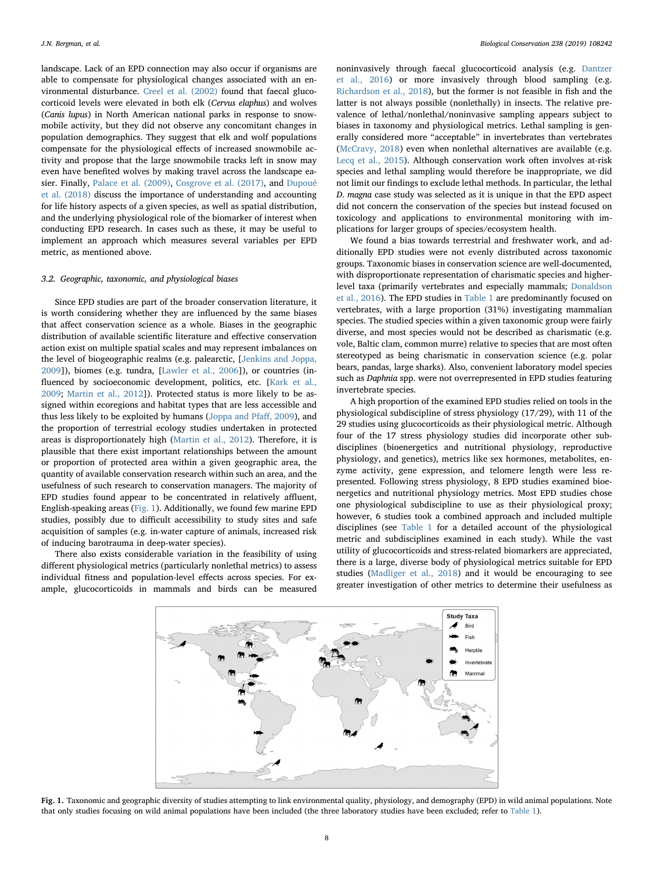landscape. Lack of an EPD connection may also occur if organisms are able to compensate for physiological changes associated with an environmental disturbance. [Creel et al. \(2002\)](#page-10-15) found that faecal glucocorticoid levels were elevated in both elk (Cervus elaphus) and wolves (Canis lupus) in North American national parks in response to snowmobile activity, but they did not observe any concomitant changes in population demographics. They suggest that elk and wolf populations compensate for the physiological effects of increased snowmobile activity and propose that the large snowmobile tracks left in snow may even have benefited wolves by making travel across the landscape easier. Finally, [Palace et al. \(2009\)](#page-11-9), [Cosgrove et al. \(2017\)](#page-10-8), and [Dupoué](#page-10-19) [et al. \(2018\)](#page-10-19) discuss the importance of understanding and accounting for life history aspects of a given species, as well as spatial distribution, and the underlying physiological role of the biomarker of interest when conducting EPD research. In cases such as these, it may be useful to implement an approach which measures several variables per EPD metric, as mentioned above.

### 3.2. Geographic, taxonomic, and physiological biases

Since EPD studies are part of the broader conservation literature, it is worth considering whether they are influenced by the same biases that affect conservation science as a whole. Biases in the geographic distribution of available scientific literature and effective conservation action exist on multiple spatial scales and may represent imbalances on the level of biogeographic realms (e.g. palearctic, [\[Jenkins and Joppa,](#page-11-37) [2009\]](#page-11-37)), biomes (e.g. tundra, [[Lawler et al., 2006](#page-11-38)]), or countries (in-fluenced by socioeconomic development, politics, etc. [[Kark et al.,](#page-11-39) [2009;](#page-11-39) [Martin et al., 2012\]](#page-11-40)). Protected status is more likely to be assigned within ecoregions and habitat types that are less accessible and thus less likely to be exploited by humans [\(Joppa and Pfa](#page-11-41)ff, 2009), and the proportion of terrestrial ecology studies undertaken in protected areas is disproportionately high [\(Martin et al., 2012\)](#page-11-40). Therefore, it is plausible that there exist important relationships between the amount or proportion of protected area within a given geographic area, the quantity of available conservation research within such an area, and the usefulness of such research to conservation managers. The majority of EPD studies found appear to be concentrated in relatively affluent, English-speaking areas [\(Fig. 1](#page-7-0)). Additionally, we found few marine EPD studies, possibly due to difficult accessibility to study sites and safe acquisition of samples (e.g. in-water capture of animals, increased risk of inducing barotrauma in deep-water species).

<span id="page-7-0"></span>There also exists considerable variation in the feasibility of using different physiological metrics (particularly nonlethal metrics) to assess individual fitness and population-level effects across species. For example, glucocorticoids in mammals and birds can be measured

noninvasively through faecal glucocorticoid analysis (e.g. [Dantzer](#page-10-43) [et al., 2016\)](#page-10-43) or more invasively through blood sampling (e.g. [Richardson et al., 2018\)](#page-12-20), but the former is not feasible in fish and the latter is not always possible (nonlethally) in insects. The relative prevalence of lethal/nonlethal/noninvasive sampling appears subject to biases in taxonomy and physiological metrics. Lethal sampling is generally considered more "acceptable" in invertebrates than vertebrates ([McCravy, 2018](#page-11-42)) even when nonlethal alternatives are available (e.g. [Lecq et al., 2015\)](#page-11-43). Although conservation work often involves at-risk species and lethal sampling would therefore be inappropriate, we did not limit our findings to exclude lethal methods. In particular, the lethal D. magna case study was selected as it is unique in that the EPD aspect did not concern the conservation of the species but instead focused on toxicology and applications to environmental monitoring with implications for larger groups of species/ecosystem health.

We found a bias towards terrestrial and freshwater work, and additionally EPD studies were not evenly distributed across taxonomic groups. Taxonomic biases in conservation science are well-documented, with disproportionate representation of charismatic species and higherlevel taxa (primarily vertebrates and especially mammals; [Donaldson](#page-10-44) [et al., 2016\)](#page-10-44). The EPD studies in [Table 1](#page-2-0) are predominantly focused on vertebrates, with a large proportion (31%) investigating mammalian species. The studied species within a given taxonomic group were fairly diverse, and most species would not be described as charismatic (e.g. vole, Baltic clam, common murre) relative to species that are most often stereotyped as being charismatic in conservation science (e.g. polar bears, pandas, large sharks). Also, convenient laboratory model species such as Daphnia spp. were not overrepresented in EPD studies featuring invertebrate species.

A high proportion of the examined EPD studies relied on tools in the physiological subdiscipline of stress physiology (17/29), with 11 of the 29 studies using glucocorticoids as their physiological metric. Although four of the 17 stress physiology studies did incorporate other subdisciplines (bioenergetics and nutritional physiology, reproductive physiology, and genetics), metrics like sex hormones, metabolites, enzyme activity, gene expression, and telomere length were less represented. Following stress physiology, 8 EPD studies examined bioenergetics and nutritional physiology metrics. Most EPD studies chose one physiological subdiscipline to use as their physiological proxy; however, 6 studies took a combined approach and included multiple disciplines (see [Table 1](#page-2-0) for a detailed account of the physiological metric and subdisciplines examined in each study). While the vast utility of glucocorticoids and stress-related biomarkers are appreciated, there is a large, diverse body of physiological metrics suitable for EPD studies ([Madliger et al., 2018\)](#page-11-1) and it would be encouraging to see greater investigation of other metrics to determine their usefulness as



Fig. 1. Taxonomic and geographic diversity of studies attempting to link environmental quality, physiology, and demography (EPD) in wild animal populations. Note that only studies focusing on wild animal populations have been included (the three laboratory studies have been excluded; refer to [Table 1\)](#page-2-0).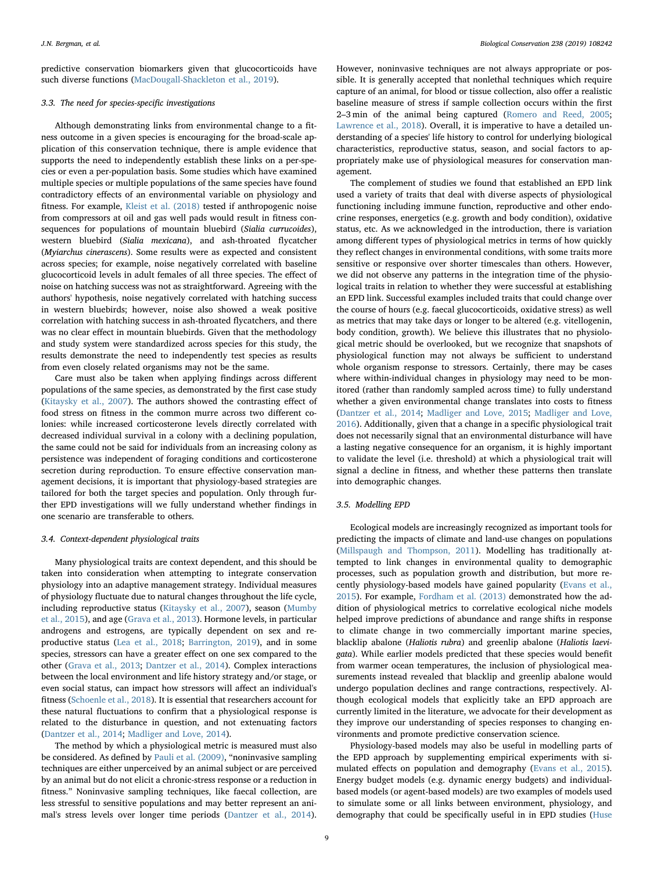predictive conservation biomarkers given that glucocorticoids have such diverse functions [\(MacDougall-Shackleton et al., 2019\)](#page-11-44).

### 3.3. The need for species-specific investigations

Although demonstrating links from environmental change to a fitness outcome in a given species is encouraging for the broad-scale application of this conservation technique, there is ample evidence that supports the need to independently establish these links on a per-species or even a per-population basis. Some studies which have examined multiple species or multiple populations of the same species have found contradictory effects of an environmental variable on physiology and fitness. For example, [Kleist et al. \(2018\)](#page-11-45) tested if anthropogenic noise from compressors at oil and gas well pads would result in fitness consequences for populations of mountain bluebird (Sialia currucoides), western bluebird (Sialia mexicana), and ash-throated flycatcher (Myiarchus cinerascens). Some results were as expected and consistent across species; for example, noise negatively correlated with baseline glucocorticoid levels in adult females of all three species. The effect of noise on hatching success was not as straightforward. Agreeing with the authors' hypothesis, noise negatively correlated with hatching success in western bluebirds; however, noise also showed a weak positive correlation with hatching success in ash-throated flycatchers, and there was no clear effect in mountain bluebirds. Given that the methodology and study system were standardized across species for this study, the results demonstrate the need to independently test species as results from even closely related organisms may not be the same.

Care must also be taken when applying findings across different populations of the same species, as demonstrated by the first case study ([Kitaysky et al., 2007](#page-11-8)). The authors showed the contrasting effect of food stress on fitness in the common murre across two different colonies: while increased corticosterone levels directly correlated with decreased individual survival in a colony with a declining population, the same could not be said for individuals from an increasing colony as persistence was independent of foraging conditions and corticosterone secretion during reproduction. To ensure effective conservation management decisions, it is important that physiology-based strategies are tailored for both the target species and population. Only through further EPD investigations will we fully understand whether findings in one scenario are transferable to others.

#### 3.4. Context-dependent physiological traits

Many physiological traits are context dependent, and this should be taken into consideration when attempting to integrate conservation physiology into an adaptive management strategy. Individual measures of physiology fluctuate due to natural changes throughout the life cycle, including reproductive status ([Kitaysky et al., 2007\)](#page-11-8), season ([Mumby](#page-11-12) [et al., 2015](#page-11-12)), and age ([Grava et al., 2013\)](#page-10-45). Hormone levels, in particular androgens and estrogens, are typically dependent on sex and reproductive status ([Lea et al., 2018;](#page-11-13) [Barrington,](#page-10-46) 2019), and in some species, stressors can have a greater effect on one sex compared to the other [\(Grava et al., 2013;](#page-10-45) [Dantzer et al., 2014\)](#page-10-27). Complex interactions between the local environment and life history strategy and/or stage, or even social status, can impact how stressors will affect an individual's fitness ([Schoenle et al., 2018\)](#page-12-21). It is essential that researchers account for these natural fluctuations to confirm that a physiological response is related to the disturbance in question, and not extenuating factors ([Dantzer et al., 2014;](#page-10-27) [Madliger and Love, 2014\)](#page-11-36).

The method by which a physiological metric is measured must also be considered. As defined by [Pauli et al. \(2009\)](#page-11-4), "noninvasive sampling techniques are either unperceived by an animal subject or are perceived by an animal but do not elicit a chronic-stress response or a reduction in fitness." Noninvasive sampling techniques, like faecal collection, are less stressful to sensitive populations and may better represent an animal's stress levels over longer time periods [\(Dantzer et al., 2014](#page-10-27)).

However, noninvasive techniques are not always appropriate or possible. It is generally accepted that nonlethal techniques which require capture of an animal, for blood or tissue collection, also offer a realistic baseline measure of stress if sample collection occurs within the first 2–3 min of the animal being captured ([Romero and Reed, 2005](#page-12-22); [Lawrence et al., 2018\)](#page-11-46). Overall, it is imperative to have a detailed understanding of a species' life history to control for underlying biological characteristics, reproductive status, season, and social factors to appropriately make use of physiological measures for conservation management.

The complement of studies we found that established an EPD link used a variety of traits that deal with diverse aspects of physiological functioning including immune function, reproductive and other endocrine responses, energetics (e.g. growth and body condition), oxidative status, etc. As we acknowledged in the introduction, there is variation among different types of physiological metrics in terms of how quickly they reflect changes in environmental conditions, with some traits more sensitive or responsive over shorter timescales than others. However, we did not observe any patterns in the integration time of the physiological traits in relation to whether they were successful at establishing an EPD link. Successful examples included traits that could change over the course of hours (e.g. faecal glucocorticoids, oxidative stress) as well as metrics that may take days or longer to be altered (e.g. vitellogenin, body condition, growth). We believe this illustrates that no physiological metric should be overlooked, but we recognize that snapshots of physiological function may not always be sufficient to understand whole organism response to stressors. Certainly, there may be cases where within-individual changes in physiology may need to be monitored (rather than randomly sampled across time) to fully understand whether a given environmental change translates into costs to fitness ([Dantzer et al., 2014](#page-10-27); [Madliger and Love, 2015](#page-11-3); [Madliger and Love,](#page-11-47) [2016\)](#page-11-47). Additionally, given that a change in a specific physiological trait does not necessarily signal that an environmental disturbance will have a lasting negative consequence for an organism, it is highly important to validate the level (i.e. threshold) at which a physiological trait will signal a decline in fitness, and whether these patterns then translate into demographic changes.

#### 3.5. Modelling EPD

Ecological models are increasingly recognized as important tools for predicting the impacts of climate and land-use changes on populations ([Millspaugh and Thompson, 2011](#page-11-48)). Modelling has traditionally attempted to link changes in environmental quality to demographic processes, such as population growth and distribution, but more recently physiology-based models have gained popularity [\(Evans et al.,](#page-10-47) [2015\)](#page-10-47). For example, [Fordham et al. \(2013\)](#page-10-48) demonstrated how the addition of physiological metrics to correlative ecological niche models helped improve predictions of abundance and range shifts in response to climate change in two commercially important marine species, blacklip abalone (Haliotis rubra) and greenlip abalone (Haliotis laevigata). While earlier models predicted that these species would benefit from warmer ocean temperatures, the inclusion of physiological measurements instead revealed that blacklip and greenlip abalone would undergo population declines and range contractions, respectively. Although ecological models that explicitly take an EPD approach are currently limited in the literature, we advocate for their development as they improve our understanding of species responses to changing environments and promote predictive conservation science.

Physiology-based models may also be useful in modelling parts of the EPD approach by supplementing empirical experiments with simulated effects on population and demography [\(Evans et al., 2015](#page-10-47)). Energy budget models (e.g. dynamic energy budgets) and individualbased models (or agent-based models) are two examples of models used to simulate some or all links between environment, physiology, and demography that could be specifically useful in in EPD studies [\(Huse](#page-11-49)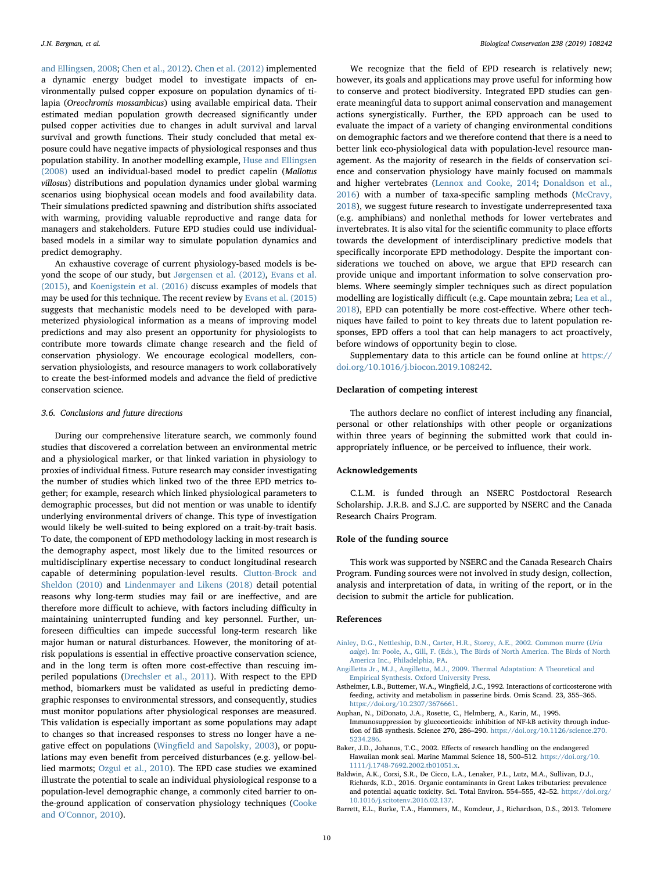[and Ellingsen, 2008;](#page-11-49) [Chen et al., 2012](#page-10-49)). [Chen et al. \(2012\)](#page-10-49) implemented a dynamic energy budget model to investigate impacts of environmentally pulsed copper exposure on population dynamics of tilapia (Oreochromis mossambicus) using available empirical data. Their estimated median population growth decreased significantly under pulsed copper activities due to changes in adult survival and larval survival and growth functions. Their study concluded that metal exposure could have negative impacts of physiological responses and thus population stability. In another modelling example, [Huse and Ellingsen](#page-11-49) [\(2008\)](#page-11-49) used an individual-based model to predict capelin (Mallotus villosus) distributions and population dynamics under global warming scenarios using biophysical ocean models and food availability data. Their simulations predicted spawning and distribution shifts associated with warming, providing valuable reproductive and range data for managers and stakeholders. Future EPD studies could use individualbased models in a similar way to simulate population dynamics and predict demography.

An exhaustive coverage of current physiology-based models is beyond the scope of our study, but [Jørgensen et al. \(2012\),](#page-11-50) [Evans et al.](#page-10-47) [\(2015\),](#page-10-47) and [Koenigstein et al. \(2016\)](#page-11-51) discuss examples of models that may be used for this technique. The recent review by [Evans et al. \(2015\)](#page-10-47) suggests that mechanistic models need to be developed with parameterized physiological information as a means of improving model predictions and may also present an opportunity for physiologists to contribute more towards climate change research and the field of conservation physiology. We encourage ecological modellers, conservation physiologists, and resource managers to work collaboratively to create the best-informed models and advance the field of predictive conservation science.

### 3.6. Conclusions and future directions

During our comprehensive literature search, we commonly found studies that discovered a correlation between an environmental metric and a physiological marker, or that linked variation in physiology to proxies of individual fitness. Future research may consider investigating the number of studies which linked two of the three EPD metrics together; for example, research which linked physiological parameters to demographic processes, but did not mention or was unable to identify underlying environmental drivers of change. This type of investigation would likely be well-suited to being explored on a trait-by-trait basis. To date, the component of EPD methodology lacking in most research is the demography aspect, most likely due to the limited resources or multidisciplinary expertise necessary to conduct longitudinal research capable of determining population-level results. [Clutton-Brock and](#page-10-50) [Sheldon \(2010\)](#page-10-50) and [Lindenmayer and Likens \(2018\)](#page-11-52) detail potential reasons why long-term studies may fail or are ineffective, and are therefore more difficult to achieve, with factors including difficulty in maintaining uninterrupted funding and key personnel. Further, unforeseen difficulties can impede successful long-term research like major human or natural disturbances. However, the monitoring of atrisk populations is essential in effective proactive conservation science, and in the long term is often more cost-effective than rescuing imperiled populations [\(Drechsler et al., 2011\)](#page-10-1). With respect to the EPD method, biomarkers must be validated as useful in predicting demographic responses to environmental stressors, and consequently, studies must monitor populations after physiological responses are measured. This validation is especially important as some populations may adapt to changes so that increased responses to stress no longer have a negative effect on populations (Wingfi[eld and Sapolsky, 2003](#page-12-23)), or populations may even benefit from perceived disturbances (e.g. yellow-bellied marmots; [Ozgul et al., 2010](#page-11-53)). The EPD case studies we examined illustrate the potential to scale an individual physiological response to a population-level demographic change, a commonly cited barrier to onthe-ground application of conservation physiology techniques ([Cooke](#page-10-5) [and O'Connor, 2010](#page-10-5)).

We recognize that the field of EPD research is relatively new; however, its goals and applications may prove useful for informing how to conserve and protect biodiversity. Integrated EPD studies can generate meaningful data to support animal conservation and management actions synergistically. Further, the EPD approach can be used to evaluate the impact of a variety of changing environmental conditions on demographic factors and we therefore contend that there is a need to better link eco-physiological data with population-level resource management. As the majority of research in the fields of conservation science and conservation physiology have mainly focused on mammals and higher vertebrates [\(Lennox and Cooke, 2014;](#page-11-54) [Donaldson et al.,](#page-10-44) [2016\)](#page-10-44) with a number of taxa-specific sampling methods [\(McCravy,](#page-11-42) [2018\)](#page-11-42), we suggest future research to investigate underrepresented taxa (e.g. amphibians) and nonlethal methods for lower vertebrates and invertebrates. It is also vital for the scientific community to place efforts towards the development of interdisciplinary predictive models that specifically incorporate EPD methodology. Despite the important considerations we touched on above, we argue that EPD research can provide unique and important information to solve conservation problems. Where seemingly simpler techniques such as direct population modelling are logistically difficult (e.g. Cape mountain zebra; [Lea et al.,](#page-11-13) [2018\)](#page-11-13), EPD can potentially be more cost-effective. Where other techniques have failed to point to key threats due to latent population responses, EPD offers a tool that can help managers to act proactively, before windows of opportunity begin to close.

Supplementary data to this article can be found online at [https://](https://doi.org/10.1016/j.biocon.2019.108242) [doi.org/10.1016/j.biocon.2019.108242](https://doi.org/10.1016/j.biocon.2019.108242).

### Declaration of competing interest

The authors declare no conflict of interest including any financial, personal or other relationships with other people or organizations within three years of beginning the submitted work that could inappropriately influence, or be perceived to influence, their work.

### Acknowledgements

C.L.M. is funded through an NSERC Postdoctoral Research Scholarship. J.R.B. and S.J.C. are supported by NSERC and the Canada Research Chairs Program.

#### Role of the funding source

This work was supported by NSERC and the Canada Research Chairs Program. Funding sources were not involved in study design, collection, analysis and interpretation of data, in writing of the report, or in the decision to submit the article for publication.

#### References

- <span id="page-9-1"></span>[Ainley, D.G., Nettleship, D.N., Carter, H.R., Storey, A.E., 2002. Common murre \(](http://refhub.elsevier.com/S0006-3207(19)30870-5/rf0005)Uria aalge[\). In: Poole, A., Gill, F. \(Eds.\), The Birds of North America. The Birds of North](http://refhub.elsevier.com/S0006-3207(19)30870-5/rf0005) [America Inc., Philadelphia, PA.](http://refhub.elsevier.com/S0006-3207(19)30870-5/rf0005)
- <span id="page-9-5"></span>[Angilletta Jr., M.J., Angilletta, M.J., 2009. Thermal Adaptation: A Theoretical and](http://refhub.elsevier.com/S0006-3207(19)30870-5/rf0010) [Empirical Synthesis. Oxford University Press](http://refhub.elsevier.com/S0006-3207(19)30870-5/rf0010).
- <span id="page-9-2"></span>Astheimer, L.B., Buttemer, W.A., Wingfield, J.C., 1992. Interactions of corticosterone with feeding, activity and metabolism in passerine birds. Ornis Scand. 23, 355–365. [https://doi.org/10.2307/3676661.](https://doi.org/10.2307/3676661)
- <span id="page-9-3"></span>Auphan, N., DiDonato, J.A., Rosette, C., Helmberg, A., Karin, M., 1995. Immunosuppression by glucocorticoids: inhibition of NF-kB activity through induction of IkB synthesis. Science 270, 286–290. [https://doi.org/10.1126/science.270.](https://doi.org/10.1126/science.270.5234.286) [5234.286](https://doi.org/10.1126/science.270.5234.286).
- <span id="page-9-0"></span>Baker, J.D., Johanos, T.C., 2002. Effects of research handling on the endangered Hawaiian monk seal. Marine Mammal Science 18, 500–512. [https://doi.org/10.](https://doi.org/10.1111/j.1748-7692.2002.tb01051.x) [1111/j.1748-7692.2002.tb01051.x](https://doi.org/10.1111/j.1748-7692.2002.tb01051.x).
- <span id="page-9-4"></span>Baldwin, A.K., Corsi, S.R., De Cicco, L.A., Lenaker, P.L., Lutz, M.A., Sullivan, D.J., Richards, K.D., 2016. Organic contaminants in Great Lakes tributaries: prevalence and potential aquatic toxicity. Sci. Total Environ. 554–555, 42–52. [https://doi.org/](https://doi.org/10.1016/j.scitotenv.2016.02.137) [10.1016/j.scitotenv.2016.02.137.](https://doi.org/10.1016/j.scitotenv.2016.02.137)

<span id="page-9-6"></span>Barrett, E.L., Burke, T.A., Hammers, M., Komdeur, J., Richardson, D.S., 2013. Telomere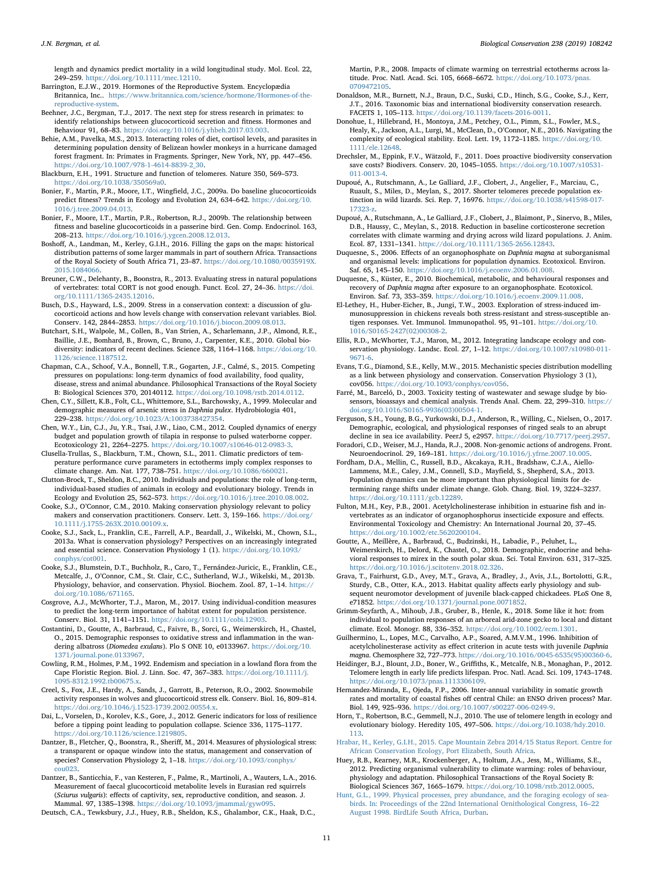length and dynamics predict mortality in a wild longitudinal study. Mol. Ecol. 22, 249–259. <https://doi.org/10.1111/mec.12110>.

<span id="page-10-46"></span>Barrington, E.J.W., 2019. Hormones of the Reproductive System. Encyclopædia Britannica, Inc.. [https://www.britannica.com/science/hormone/Hormones-of-the](https://www.britannica.com/science/hormone/Hormones-of-the-reproductive-system)[reproductive-system.](https://www.britannica.com/science/hormone/Hormones-of-the-reproductive-system)

<span id="page-10-7"></span>Beehner, J.C., Bergman, T.J., 2017. The next step for stress research in primates: to identify relationships between glucocorticoid secretion and fitness. Hormones and Behaviour 91, 68–83. <https://doi.org/10.1016/j.yhbeh.2017.03.003>.

<span id="page-10-16"></span>Behie, A.M., Pavelka, M.S., 2013. Interacting roles of diet, cortisol levels, and parasites in determining population density of Belizean howler monkeys in a hurricane damaged forest fragment. In: Primates in Fragments. Springer, New York, NY, pp. 447–456. [https://doi.org/10.1007/978-1-4614-8839-2\\_30](https://doi.org/10.1007/978-1-4614-8839-2_30).

<span id="page-10-39"></span>Blackburn, E.H., 1991. Structure and function of telomeres. Nature 350, 569–573. [https://doi.org/10.1038/350569a0.](https://doi.org/10.1038/350569a0)

<span id="page-10-21"></span>Bonier, F., Martin, P.R., Moore, I.T., Wingfield, J.C., 2009a. Do baseline glucocorticoids predict fitness? Trends in Ecology and Evolution 24, 634–642. [https://doi.org/10.](https://doi.org/10.1016/j.tree.2009.04.013) [1016/j.tree.2009.04.013](https://doi.org/10.1016/j.tree.2009.04.013).

<span id="page-10-22"></span>Bonier, F., Moore, I.T., Martin, P.R., Robertson, R.J., 2009b. The relationship between fitness and baseline glucocorticoids in a passerine bird. Gen. Comp. Endocrinol. 163, 208–213. [https://doi.org/10.1016/j.ygcen.2008.12.013.](https://doi.org/10.1016/j.ygcen.2008.12.013)

<span id="page-10-26"></span>Boshoff, A., Landman, M., Kerley, G.I.H., 2016. Filling the gaps on the maps: historical distribution patterns of some larger mammals in part of southern Africa. Transactions of the Royal Society of South Africa 71, 23–87. [https://doi.org/10.1080/0035919X.](https://doi.org/10.1080/0035919X.2015.1084066) [2015.1084066.](https://doi.org/10.1080/0035919X.2015.1084066)

<span id="page-10-42"></span>Breuner, C.W., Delehanty, B., Boonstra, R., 2013. Evaluating stress in natural populations of vertebrates: total CORT is not good enough. Funct. Ecol. 27, 24–36. [https://doi.](https://doi.org/10.1111/1365-2435.12016) [org/10.1111/1365-2435.12016.](https://doi.org/10.1111/1365-2435.12016)

<span id="page-10-4"></span>Busch, D.S., Hayward, L.S., 2009. Stress in a conservation context: a discussion of glucocorticoid actions and how levels change with conservation relevant variables. Biol. Conserv. 142, 2844–2853. [https://doi.org/10.1016/j.biocon.2009.08.013.](https://doi.org/10.1016/j.biocon.2009.08.013)

- <span id="page-10-0"></span>Butchart, S.H., Walpole, M., Collen, B., Van Strien, A., Scharlemann, J.P., Almond, R.E., Baillie, J.E., Bomhard, B., Brown, C., Bruno, J., Carpenter, K.E., 2010. Global biodiversity: indicators of recent declines. Science 328, 1164–1168. [https://doi.org/10.](https://doi.org/10.1126/science.1187512) [1126/science.1187512](https://doi.org/10.1126/science.1187512).
- <span id="page-10-14"></span>Chapman, C.A., Schoof, V.A., Bonnell, T.R., Gogarten, J.F., Calmé, S., 2015. Competing pressures on populations: long-term dynamics of food availability, food quality, disease, stress and animal abundance. Philosophical Transactions of the Royal Society B: Biological Sciences 370, 20140112. <https://doi.org/10.1098/rstb.2014.0112>.

<span id="page-10-13"></span>Chen, C.Y., Sillett, K.B., Folt, C.L., Whittemore, S.L., Barchowsky, A., 1999. Molecular and demographic measures of arsenic stress in Daphnia pulex. Hydrobiologia 401, 229–238. [https://doi.org/10.1023/A:1003738427354.](https://doi.org/10.1023/A:1003738427354)

<span id="page-10-49"></span>Chen, W.Y., Lin, C.J., Ju, Y.R., Tsai, J.W., Liao, C.M., 2012. Coupled dynamics of energy budget and population growth of tilapia in response to pulsed waterborne copper. Ecotoxicology 21, 2264–2275. <https://doi.org/10.1007/s10646-012-0983-3>.

<span id="page-10-34"></span>Clusella-Trullas, S., Blackburn, T.M., Chown, S.L., 2011. Climatic predictors of temperature performance curve parameters in ectotherms imply complex responses to climate change. Am. Nat. 177, 738–751. [https://doi.org/10.1086/660021.](https://doi.org/10.1086/660021)

<span id="page-10-50"></span>Clutton-Brock, T., Sheldon, B.C., 2010. Individuals and populations: the role of long-term, individual-based studies of animals in ecology and evolutionary biology. Trends in Ecology and Evolution 25, 562–573. [https://doi.org/10.1016/j.tree.2010.08.002.](https://doi.org/10.1016/j.tree.2010.08.002)

<span id="page-10-5"></span>Cooke, S.J., O'Connor, C.M., 2010. Making conservation physiology relevant to policy makers and conservation practitioners. Conserv. Lett. 3, 159–166. [https://doi.org/](https://doi.org/10.1111/j.1755-263X.2010.00109.x) [10.1111/j.1755-263X.2010.00109.x.](https://doi.org/10.1111/j.1755-263X.2010.00109.x)

<span id="page-10-3"></span>Cooke, S.J., Sack, L., Franklin, C.E., Farrell, A.P., Beardall, J., Wikelski, M., Chown, S.L., 2013a. What is conservation physiology? Perspectives on an increasingly integrated and essential science. Conservation Physiology 1 (1). [https://doi.org/10.1093/](https://doi.org/10.1093/conphys/cot001) [conphys/cot001](https://doi.org/10.1093/conphys/cot001).

<span id="page-10-6"></span>Cooke, S.J., Blumstein, D.T., Buchholz, R., Caro, T., Fernández-Juricic, E., Franklin, C.E., Metcalfe, J., O'Connor, C.M., St. Clair, C.C., Sutherland, W.J., Wikelski, M., 2013b. Physiology, behavior, and conservation. Physiol. Biochem. Zool. 87, 1–14. [https://](https://doi.org/10.1086/671165) [doi.org/10.1086/671165.](https://doi.org/10.1086/671165)

<span id="page-10-8"></span>Cosgrove, A.J., McWhorter, T.J., Maron, M., 2017. Using individual-condition measures to predict the long-term importance of habitat extent for population persistence. Conserv. Biol. 31, 1141–1151. <https://doi.org/10.1111/cobi.12903>.

<span id="page-10-10"></span>Costantini, D., Goutte, A., Barbraud, C., Faivre, B., Sorci, G., Weimerskirch, H., Chastel, O., 2015. Demographic responses to oxidative stress and inflammation in the wandering albatross (Diomedea exulans). Plo S ONE 10, e0133967. [https://doi.org/10.](https://doi.org/10.1371/journal.pone.0133967) [1371/journal.pone.0133967.](https://doi.org/10.1371/journal.pone.0133967)

<span id="page-10-25"></span>Cowling, R.M., Holmes, P.M., 1992. Endemism and speciation in a lowland flora from the Cape Floristic Region. Biol. J. Linn. Soc. 47, 367–383. [https://doi.org/10.1111/j.](https://doi.org/10.1111/j.1095-8312.1992.tb00675.x) [1095-8312.1992.tb00675.x.](https://doi.org/10.1111/j.1095-8312.1992.tb00675.x)

<span id="page-10-15"></span>Creel, S., Fox, J.E., Hardy, A., Sands, J., Garrott, B., Peterson, R.O., 2002. Snowmobile activity responses in wolves and glucocorticoid stress elk. Conserv. Biol. 16, 809–814. [https://doi.org/10.1046/j.1523-1739.2002.00554.x.](https://doi.org/10.1046/j.1523-1739.2002.00554.x)

<span id="page-10-38"></span>Dai, L., Vorselen, D., Korolev, K.S., Gore, J., 2012. Generic indicators for loss of resilience before a tipping point leading to population collapse. Science 336, 1175–1177. [https://doi.org/10.1126/science.1219805.](https://doi.org/10.1126/science.1219805)

<span id="page-10-27"></span>Dantzer, B., Fletcher, Q., Boonstra, R., Sheriff, M., 2014. Measures of physiological stress: a transparent or opaque window into the status, management and conservation of species? Conservation Physiology 2, 1-18. [https://doi.org/10.1093/conphys/](https://doi.org/10.1093/conphys/cou023) [cou023](https://doi.org/10.1093/conphys/cou023).

<span id="page-10-43"></span>Dantzer, B., Santicchia, F., van Kesteren, F., Palme, R., Martinoli, A., Wauters, L.A., 2016. Measurement of faecal glucocorticoid metabolite levels in Eurasian red squirrels (Sciurus vulgaris): effects of captivity, sex, reproductive condition, and season. J. Mammal. 97, 1385–1398. <https://doi.org/10.1093/jmammal/gyw095>.

<span id="page-10-36"></span>Deutsch, C.A., Tewksbury, J.J., Huey, R.B., Sheldon, K.S., Ghalambor, C.K., Haak, D.C.,

Martin, P.R., 2008. Impacts of climate warming on terrestrial ectotherms across latitude. Proc. Natl. Acad. Sci. 105, 6668–6672. [https://doi.org/10.1073/pnas.](https://doi.org/10.1073/pnas.0709472105) [0709472105](https://doi.org/10.1073/pnas.0709472105).

- <span id="page-10-44"></span>Donaldson, M.R., Burnett, N.J., Braun, D.C., Suski, C.D., Hinch, S.G., Cooke, S.J., Kerr, J.T., 2016. Taxonomic bias and international biodiversity conservation research. FACETS 1, 105–113. <https://doi.org/10.1139/facets-2016-0011>.
- <span id="page-10-37"></span>Donohue, I., Hillebrand, H., Montoya, J.M., Petchey, O.L., Pimm, S.L., Fowler, M.S., Healy, K., Jackson, A.L., Lurgi, M., McClean, D., O'Connor, N.E., 2016. Navigating the complexity of ecological stability. Ecol. Lett. 19, 1172–1185. [https://doi.org/10.](https://doi.org/10.1111/ele.12648) [1111/ele.12648.](https://doi.org/10.1111/ele.12648)

<span id="page-10-1"></span>Drechsler, M., Eppink, F.V., Wätzold, F., 2011. Does proactive biodiversity conservation save costs? Biodivers. Conserv. 20, 1045–1055. [https://doi.org/10.1007/s10531-](https://doi.org/10.1007/s10531-011-0013-4) [011-0013-4](https://doi.org/10.1007/s10531-011-0013-4).

<span id="page-10-20"></span>Dupoué, A., Rutschmann, A., Le Galliard, J.F., Clobert, J., Angelier, F., Marciau, C., Ruault, S., Miles, D., Meylan, S., 2017. Shorter telomeres precede population extinction in wild lizards. Sci. Rep. 7, 16976. [https://doi.org/10.1038/s41598-017-](https://doi.org/10.1038/s41598-017-17323-z) [17323-z](https://doi.org/10.1038/s41598-017-17323-z).

<span id="page-10-19"></span>Dupoué, A., Rutschmann, A., Le Galliard, J.F., Clobert, J., Blaimont, P., Sinervo, B., Miles, D.B., Haussy, C., Meylan, S., 2018. Reduction in baseline corticosterone secretion correlates with climate warming and drying across wild lizard populations. J. Anim. Ecol. 87, 1331–1341. [https://doi.org/10.1111/1365-2656.12843.](https://doi.org/10.1111/1365-2656.12843)

<span id="page-10-32"></span>Duquesne, S., 2006. Effects of an organophosphate on Daphnia magna at suborganismal and organismal levels: implications for population dynamics. Ecotoxicol. Environ. Saf. 65, 145–150. [https://doi.org/10.1016/j.ecoenv.2006.01.008.](https://doi.org/10.1016/j.ecoenv.2006.01.008)

<span id="page-10-12"></span>Duquesne, S., Küster, E., 2010. Biochemical, metabolic, and behavioural responses and recovery of Daphnia magna after exposure to an organophosphate. Ecotoxicol. Environ. Saf. 73, 353–359. [https://doi.org/10.1016/j.ecoenv.2009.11.008.](https://doi.org/10.1016/j.ecoenv.2009.11.008)

<span id="page-10-23"></span>El-Lethey, H., Huber-Eicher, B., Jungi, T.W., 2003. Exploration of stress-induced immunosuppression in chickens reveals both stress-resistant and stress-susceptible antigen responses. Vet. Immunol. Immunopathol. 95, 91–101. [https://doi.org/10.](https://doi.org/10.1016/S0165-2427(02)00308-2) [1016/S0165-2427\(02\)00308-2.](https://doi.org/10.1016/S0165-2427(02)00308-2)

<span id="page-10-2"></span>Ellis, R.D., McWhorter, T.J., Maron, M., 2012. Integrating landscape ecology and conservation physiology. Landsc. Ecol. 27, 1–12. [https://doi.org/10.1007/s10980-011-](https://doi.org/10.1007/s10980-011-9671-6) [9671-6.](https://doi.org/10.1007/s10980-011-9671-6)

<span id="page-10-47"></span>Evans, T.G., Diamond, S.E., Kelly, M.W., 2015. Mechanistic species distribution modelling as a link between physiology and conservation. Conservation Physiology 3 (1), cov056. [https://doi.org/10.1093/conphys/cov056.](https://doi.org/10.1093/conphys/cov056)

<span id="page-10-33"></span>Farré, M., Barceló, D., 2003. Toxicity testing of wastewater and sewage sludge by biosensors, bioassays and chemical analysis. Trends Anal. Chem. 22, 299–310. [https://](https://doi.org/10.1016/S0165-9936(03)00504-1) [doi.org/10.1016/S0165-9936\(03\)00504-1.](https://doi.org/10.1016/S0165-9936(03)00504-1)

<span id="page-10-17"></span>Ferguson, S.H., Young, B.G., Yurkowski, D.J., Anderson, R., Willing, C., Nielsen, O., 2017. Demographic, ecological, and physiological responses of ringed seals to an abrupt decline in sea ice availability. PeerJ 5, e2957. <https://doi.org/10.7717/peerj.2957>.

<span id="page-10-28"></span>Foradori, C.D., Weiser, M.J., Handa, R.J., 2008. Non-genomic actions of androgens. Front. Neuroendocrinol. 29, 169–181. <https://doi.org/10.1016/j.yfrne.2007.10.005>.

<span id="page-10-48"></span>Fordham, D.A., Mellin, C., Russell, B.D., Akcakaya, R.H., Bradshaw, C.J.A., Aiello-Lammens, M.E., Caley, J.M., Connell, S.D., Mayfield, S., Shepherd, S.A., 2013. Population dynamics can be more important than physiological limits for determining range shifts under climate change. Glob. Chang. Biol. 19, 3224–3237. [https://doi.org/10.1111/gcb.12289.](https://doi.org/10.1111/gcb.12289)

<span id="page-10-31"></span>Fulton, M.H., Key, P.B., 2001. Acetylcholinesterase inhibition in estuarine fish and invertebrates as an indicator of organophosphorus insecticide exposure and effects. Environmental Toxicology and Chemistry: An International Journal 20, 37–45. <https://doi.org/10.1002/etc.5620200104>.

<span id="page-10-9"></span>Goutte, A., Meillère, A., Barbraud, C., Budzinski, H., Labadie, P., Peluhet, L., Weimerskirch, H., Delord, K., Chastel, O., 2018. Demographic, endocrine and behavioral responses to mirex in the south polar skua. Sci. Total Environ. 631, 317–325. <https://doi.org/10.1016/j.scitotenv.2018.02.326>.

<span id="page-10-45"></span>Grava, T., Fairhurst, G.D., Avey, M.T., Grava, A., Bradley, J., Avis, J.L., Bortolotti, G.R., Sturdy, C.B., Otter, K.A., 2013. Habitat quality affects early physiology and subsequent neuromotor development of juvenile black-capped chickadees. PLoS One 8, e71852. [https://doi.org/10.1371/journal.pone.0071852.](https://doi.org/10.1371/journal.pone.0071852)

<span id="page-10-18"></span>Grimm-Seyfarth, A., Mihoub, J.B., Gruber, B., Henle, K., 2018. Some like it hot: from individual to population responses of an arboreal arid-zone gecko to local and distant climate. Ecol. Monogr. 88, 336–352. <https://doi.org/10.1002/ecm.1301>.

<span id="page-10-30"></span>Guilhermino, L., Lopes, M.C., Carvalho, A.P., Soared, A.M.V.M., 1996. Inhibition of acetylcholinesterase activity as effect criterion in acute tests with juvenile Daphnia magna. Chemosphere 32, 727–773. [https://doi.org/10.1016/0045-6535\(95\)00360-6.](https://doi.org/10.1016/0045-6535(95)00360-6)

<span id="page-10-40"></span>Heidinger, B.J., Blount, J.D., Boner, W., Griffiths, K., Metcalfe, N.B., Monaghan, P., 2012. Telomere length in early life predicts lifespan. Proc. Natl. Acad. Sci. 109, 1743–1748. <https://doi.org/10.1073/pnas.1113306109>.

<span id="page-10-11"></span>Hernandez-Miranda, E., Ojeda, F.P., 2006. Inter-annual variability in somatic growth rates and mortality of coastal fishes off central Chile: an ENSO driven process? Mar. Biol. 149, 925–936. <https://doi.org/10.1007/s00227-006-0249-9>.

<span id="page-10-41"></span>Horn, T., Robertson, B.C., Gemmell, N.J., 2010. The use of telomere length in ecology and evolutionary biology. Heredity 105, 497–506. [https://doi.org/10.1038/hdy.2010.](https://doi.org/10.1038/hdy.2010.113) [113](https://doi.org/10.1038/hdy.2010.113).

<span id="page-10-29"></span>[Hrabar, H., Kerley, G.I.H., 2015. Cape Mountain Zebra 2014/15 Status Report. Centre for](http://refhub.elsevier.com/S0006-3207(19)30870-5/rf0280) [African Conservation Ecology, Port Elizabeth, South Africa](http://refhub.elsevier.com/S0006-3207(19)30870-5/rf0280).

<span id="page-10-35"></span>Huey, R.B., Kearney, M.R., Krockenberger, A., Holtum, J.A., Jess, M., Williams, S.E., 2012. Predicting organismal vulnerability to climate warming: roles of behaviour, physiology and adaptation. Philosophical Transactions of the Royal Society B: Biological Sciences 367, 1665–1679. [https://doi.org/10.1098/rstb.2012.0005.](https://doi.org/10.1098/rstb.2012.0005)

<span id="page-10-24"></span>[Hunt, G.L., 1999. Physical processes, prey abundance, and the foraging ecology of sea](http://refhub.elsevier.com/S0006-3207(19)30870-5/rf0290)[birds. In: Proceedings of the 22nd International Ornithological Congress, 16](http://refhub.elsevier.com/S0006-3207(19)30870-5/rf0290)–22 [August 1998. BirdLife South Africa, Durban](http://refhub.elsevier.com/S0006-3207(19)30870-5/rf0290).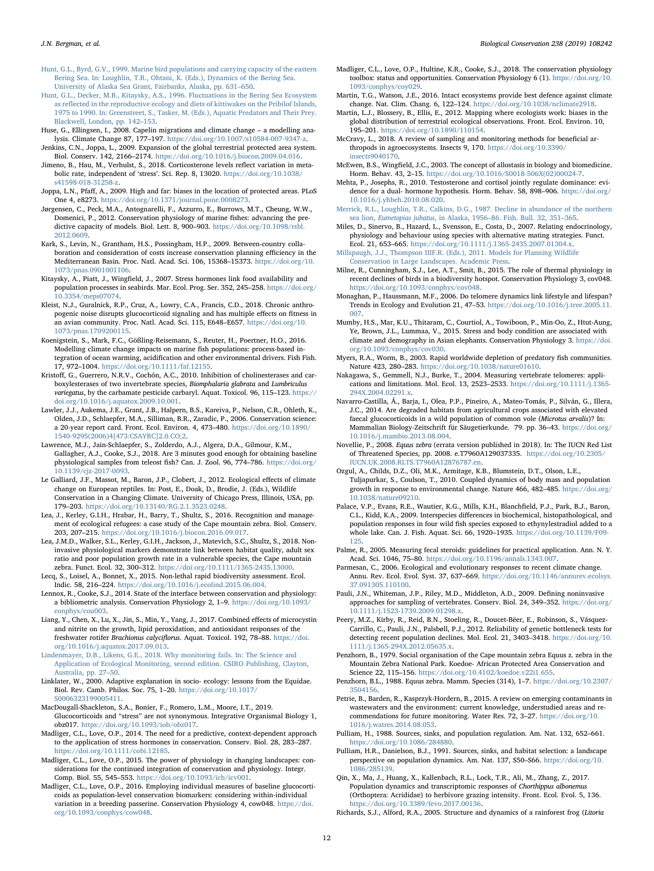<span id="page-11-15"></span>[Hunt, G.L., Byrd, G.V., 1999. Marine bird populations and carrying capacity of the eastern](http://refhub.elsevier.com/S0006-3207(19)30870-5/rf0295) [Bering Sea. In: Loughlin, T.R., Ohtani, K. \(Eds.\), Dynamics of the Bering Sea.](http://refhub.elsevier.com/S0006-3207(19)30870-5/rf0295) [University of Alaska Sea Grant, Fairbanks, Alaska, pp. 631](http://refhub.elsevier.com/S0006-3207(19)30870-5/rf0295)–650.

- <span id="page-11-5"></span>[Hunt, G.L., Decker, M.B., Kitaysky, A.S., 1996. Fluctuations in the Bering Sea Ecosystem](http://refhub.elsevier.com/S0006-3207(19)30870-5/rf0300) as refl[ected in the reproductive ecology and diets of kittiwakes on the Pribilof Islands,](http://refhub.elsevier.com/S0006-3207(19)30870-5/rf0300) [1975 to 1990. In: Greenstreet, S., Tasker, M. \(Eds.\), Aquatic Predators and Their Prey.](http://refhub.elsevier.com/S0006-3207(19)30870-5/rf0300) [Blackwell, London, pp. 142](http://refhub.elsevier.com/S0006-3207(19)30870-5/rf0300)–153.
- <span id="page-11-49"></span>Huse, G., Ellingsen, I., 2008. Capelin migrations and climate change – a modelling analysis. Climate Change 87, 177–197. [https://doi.org/10.1007/s10584-007-9347-z.](https://doi.org/10.1007/s10584-007-9347-z)
- <span id="page-11-37"></span>Jenkins, C.N., Joppa, L., 2009. Expansion of the global terrestrial protected area system. Biol. Conserv. 142, 2166–2174. [https://doi.org/10.1016/j.biocon.2009.04.016.](https://doi.org/10.1016/j.biocon.2009.04.016)
- <span id="page-11-2"></span>Jimeno, B., Hau, M., Verhulst, S., 2018. Corticosterone levels reflect variation in metabolic rate, independent of 'stress'. Sci. Rep. 8, 13020. [https://doi.org/10.1038/](https://doi.org/10.1038/s41598-018-31258-z) [s41598-018-31258-z.](https://doi.org/10.1038/s41598-018-31258-z)
- <span id="page-11-41"></span>Joppa, L.N., Pfaff, A., 2009. High and far: biases in the location of protected areas. PLoS One 4, e8273. <https://doi.org/10.1371/journal.pone.0008273>.
- <span id="page-11-50"></span>Jørgensen, C., Peck, M.A., Antognarelli, F., Azzurro, E., Burrows, M.T., Cheung, W.W., Domenici, P., 2012. Conservation physiology of marine fishes: advancing the predictive capacity of models. Biol. Lett. 8, 900–903. [https://doi.org/10.1098/rsbl.](https://doi.org/10.1098/rsbl.2012.0609) [2012.0609](https://doi.org/10.1098/rsbl.2012.0609).
- <span id="page-11-39"></span>Kark, S., Levin, N., Grantham, H.S., Possingham, H.P., 2009. Between-country collaboration and consideration of costs increase conservation planning efficiency in the Mediterranean Basin. Proc. Natl. Acad. Sci. 106, 15368–15373. [https://doi.org/10.](https://doi.org/10.1073/pnas.0901001106) [1073/pnas.0901001106.](https://doi.org/10.1073/pnas.0901001106)
- <span id="page-11-8"></span>Kitaysky, A., Piatt, J., Wingfield, J., 2007. Stress hormones link food availability and population processes in seabirds. Mar. Ecol. Prog. Ser. 352, 245–258. [https://doi.org/](https://doi.org/10.3354/meps07074) [10.3354/meps07074.](https://doi.org/10.3354/meps07074)
- <span id="page-11-45"></span>Kleist, N.J., Guralnick, R.P., Cruz, A., Lowry, C.A., Francis, C.D., 2018. Chronic anthropogenic noise disrupts glucocorticoid signaling and has multiple effects on fitness in an avian community. Proc. Natl. Acad. Sci. 115, E648–E657. [https://doi.org/10.](https://doi.org/10.1073/pnas.1709200115) [1073/pnas.1709200115.](https://doi.org/10.1073/pnas.1709200115)
- <span id="page-11-51"></span>Koenigstein, S., Mark, F.C., Gößling-Reisemann, S., Reuter, H., Poertner, H.O., 2016. Modelling climate change impacts on marine fish populations: process-based integration of ocean warming, acidification and other environmental drivers. Fish Fish. 17, 972–1004. [https://doi.org/10.1111/faf.12155.](https://doi.org/10.1111/faf.12155)
- <span id="page-11-30"></span>Kristoff, G., Guerrero, N.R.V., Cochón, A.C., 2010. Inhibition of cholinesterases and carboxylesterases of two invertebrate species, Biomphalaria glabrata and Lumbriculus variegatus, by the carbamate pesticide carbaryl. Aquat. Toxicol. 96, 115–123. [https://](https://doi.org/10.1016/j.aquatox.2009.10.001) [doi.org/10.1016/j.aquatox.2009.10.001](https://doi.org/10.1016/j.aquatox.2009.10.001).
- <span id="page-11-38"></span>Lawler, J.J., Aukema, J.E., Grant, J.B., Halpern, B.S., Kareiva, P., Nelson, C.R., Ohleth, K., Olden, J.D., Schlaepfer, M.A., Silliman, B.R., Zaradic, P., 2006. Conservation science: a 20-year report card. Front. Ecol. Environ. 4, 473–480. [https://doi.org/10.1890/](https://doi.org/10.1890/1540-9295(2006)4[473:CSAYRC]2.0.CO;2) [1540-9295\(2006\)4\[473:CSAYRC\]2.0.CO;2.](https://doi.org/10.1890/1540-9295(2006)4[473:CSAYRC]2.0.CO;2)
- <span id="page-11-46"></span>Lawrence, M.J., Jain-Schlaepfer, S., Zolderdo, A.J., Algera, D.A., Gilmour, K.M., Gallagher, A.J., Cooke, S.J., 2018. Are 3 minutes good enough for obtaining baseline physiological samples from teleost fish? Can. J. Zool. 96, 774–786. [https://doi.org/](https://doi.org/10.1139/cjz-2017-0093) [10.1139/cjz-2017-0093.](https://doi.org/10.1139/cjz-2017-0093)
- <span id="page-11-31"></span>Le Galliard, J.F., Massot, M., Baron, J.P., Clobert, J., 2012. Ecological effects of climate change on European reptiles. In: Post, E., Doak, D., Brodie, J. (Eds.), Wildlife Conservation in a Changing Climate. University of Chicago Press, Illinois, USA, pp. 179–203. <https://doi.org/10.13140/RG.2.1.3523.0248>.
- <span id="page-11-19"></span>Lea, J., Kerley, G.I.H., Hrabar, H., Barry, T., Shultz, S., 2016. Recognition and management of ecological refugees: a case study of the Cape mountain zebra. Biol. Conserv. 203, 207–215. [https://doi.org/10.1016/j.biocon.2016.09.017.](https://doi.org/10.1016/j.biocon.2016.09.017)
- <span id="page-11-13"></span>Lea, J.M.D., Walker, S.L., Kerley, G.I.H., Jackson, J., Matevich, S.C., Shultz, S., 2018. Noninvasive physiological markers demonstrate link between habitat quality, adult sex ratio and poor population growth rate in a vulnerable species, the Cape mountain zebra. Funct. Ecol. 32, 300–312. [https://doi.org/10.1111/1365-2435.13000.](https://doi.org/10.1111/1365-2435.13000)
- <span id="page-11-43"></span>Lecq, S., Loisel, A., Bonnet, X., 2015. Non-lethal rapid biodiversity assessment. Ecol. Indic. 58, 216–224. <https://doi.org/10.1016/j.ecolind.2015.06.004>.
- <span id="page-11-54"></span>Lennox, R., Cooke, S.J., 2014. State of the interface between conservation and physiology: a bibliometric analysis. Conservation Physiology 2, 1–9. [https://doi.org/10.1093/](https://doi.org/10.1093/conphys/cou003) [conphys/cou003.](https://doi.org/10.1093/conphys/cou003)
- <span id="page-11-11"></span>Liang, Y., Chen, X., Lu, X., Jin, S., Min, Y., Yang, J., 2017. Combined effects of microcystin and nitrite on the growth, lipid peroxidation, and antioxidant responses of the freshwater rotifer Brachionus calyciflorus. Aquat. Toxicol. 192, 78–88. [https://doi.](https://doi.org/10.1016/j.aquatox.2017.09.013) [org/10.1016/j.aquatox.2017.09.013](https://doi.org/10.1016/j.aquatox.2017.09.013).
- <span id="page-11-52"></span>[Lindenmayer, D.B., Likens, G.E., 2018. Why monitoring fails. In: The Science and](http://refhub.elsevier.com/S0006-3207(19)30870-5/rf0395) [Application of Ecological Monitoring, second edition. CSIRO Publishing, Clayton,](http://refhub.elsevier.com/S0006-3207(19)30870-5/rf0395) [Australia, pp. 27](http://refhub.elsevier.com/S0006-3207(19)30870-5/rf0395)–50.
- <span id="page-11-23"></span>Linklater, W., 2000. Adaptive explanation in socio- ecology: lessons from the Equidae. Biol. Rev. Camb. Philos. Soc. 75, 1–20. [https://doi.org/10.1017/](https://doi.org/10.1017/S0006323199005411) [S0006323199005411](https://doi.org/10.1017/S0006323199005411).
- <span id="page-11-44"></span>MacDougall-Shackleton, S.A., Bonier, F., Romero, L.M., Moore, I.T., 2019. Glucocorticoids and "stress" are not synonymous. Integrative Organismal Biology 1, obz017. [https://doi.org/10.1093/iob/obz017.](https://doi.org/10.1093/iob/obz017)
- <span id="page-11-36"></span>Madliger, C.L., Love, O.P., 2014. The need for a predictive, context-dependent approach to the application of stress hormones in conservation. Conserv. Biol. 28, 283–287. <https://doi.org/10.1111/cobi.12185>.
- <span id="page-11-3"></span>Madliger, C.L., Love, O.P., 2015. The power of physiology in changing landscapes: considerations for the continued integration of conservation and physiology. Integr. Comp. Biol. 55, 545–553. <https://doi.org/10.1093/icb/icv001>.
- <span id="page-11-47"></span>Madliger, C.L., Love, O.P., 2016. Employing individual measures of baseline glucocorticoids as population-level conservation biomarkers: considering within-individual variation in a breeding passerine. Conservation Physiology 4, cow048. [https://doi.](https://doi.org/10.1093/conphys/cow048) [org/10.1093/conphys/cow048.](https://doi.org/10.1093/conphys/cow048)
- <span id="page-11-1"></span>Madliger, C.L., Love, O.P., Hultine, K.R., Cooke, S.J., 2018. The conservation physiology toolbox: status and opportunities. Conservation Physiology 6 (1). [https://doi.org/10.](https://doi.org/10.1093/conphys/coy029) [1093/conphys/coy029.](https://doi.org/10.1093/conphys/coy029)
- <span id="page-11-35"></span>Martin, T.G., Watson, J.E., 2016. Intact ecosystems provide best defence against climate change. Nat. Clim. Chang. 6, 122–124. [https://doi.org/10.1038/nclimate2918.](https://doi.org/10.1038/nclimate2918)
- <span id="page-11-40"></span>Martin, L.J., Blossery, B., Ellis, E., 2012. Mapping where ecologists work: biases in the global distribution of terrestrial ecological observations. Front. Ecol. Environ. 10, 195–201. [https://doi.org/10.1890/110154.](https://doi.org/10.1890/110154)
- <span id="page-11-42"></span>McCravy, L., 2018. A review of sampling and monitoring methods for beneficial arthropods in agroecosystems. Insects 9, 170. [https://doi.org/10.3390/](https://doi.org/10.3390/insects9040170) [insects9040170.](https://doi.org/10.3390/insects9040170)
- <span id="page-11-28"></span>McEwen, B.S., Wingfield, J.C., 2003. The concept of allostasis in biology and biomedicine. Horm. Behav. 43, 2–15. [https://doi.org/10.1016/S0018-506X\(02\)00024-7.](https://doi.org/10.1016/S0018-506X(02)00024-7)
- <span id="page-11-20"></span>Mehta, P., Josephs, R., 2010. Testosterone and cortisol jointly regulate dominance: evidence for a dual- hormone hypothesis. Horm. Behav. 58, 898–906. [https://doi.org/](https://doi.org/10.1016/j.yhbeh.2010.08.020) [10.1016/j.yhbeh.2010.08.020.](https://doi.org/10.1016/j.yhbeh.2010.08.020)
- <span id="page-11-16"></span>[Merrick, R.L., Loughlin, T.R., Calkins, D.G., 1987. Decline in abundance of the northern](http://refhub.elsevier.com/S0006-3207(19)30870-5/rf0455) sea lion, Eumetopias jubatus, in Alaska, 1956–[86. Fish. Bull. 32, 351](http://refhub.elsevier.com/S0006-3207(19)30870-5/rf0455)–365.
- <span id="page-11-24"></span>Miles, D., Sinervo, B., Hazard, L., Svensson, E., Costa, D., 2007. Relating endocrinology, physiology and behaviour using species with alternative mating strategies. Funct. Ecol. 21, 653–665. <https://doi.org/10.1111/j.1365-2435.2007.01304.x>.

<span id="page-11-48"></span>[Millspaugh, J.J., Thompson IIIF.R. \(Eds.\), 2011. Models for Planning Wildlife](http://refhub.elsevier.com/S0006-3207(19)30870-5/rf0465) [Conservation in Large Landscapes. Academic Press.](http://refhub.elsevier.com/S0006-3207(19)30870-5/rf0465)

- <span id="page-11-7"></span>Milne, R., Cunningham, S.J., Lee, A.T., Smit, B., 2015. The role of thermal physiology in recent declines of birds in a biodiversity hotspot. Conservation Physiology 3, cov048. <https://doi.org/10.1093/conphys/cov048>.
- <span id="page-11-33"></span>Monaghan, P., Haussmann, M.F., 2006. Do telomere dynamics link lifestyle and lifespan? Trends in Ecology and Evolution 21, 47–53. [https://doi.org/10.1016/j.tree.2005.11.](https://doi.org/10.1016/j.tree.2005.11.007) [007](https://doi.org/10.1016/j.tree.2005.11.007).
- <span id="page-11-12"></span>Mumby, H.S., Mar, K.U., Thitaram, C., Courtiol, A., Towiboon, P., Min-Oo, Z., Htut-Aung, Ye, Brown, J.L., Lummaa, V., 2015. Stress and body condition are associated with climate and demography in Asian elephants. Conservation Physiology 3. [https://doi.](https://doi.org/10.1093/conphys/cov030) [org/10.1093/conphys/cov030](https://doi.org/10.1093/conphys/cov030).
- <span id="page-11-17"></span>Myers, R.A., Worm, B., 2003. Rapid worldwide depletion of predatory fish communities. Nature 423, 280–283. <https://doi.org/10.1038/nature01610>.
- <span id="page-11-34"></span>Nakagawa, S., Gemmell, N.J., Burke, T., 2004. Measuring vertebrate telomeres: applications and limitations. Mol. Ecol. 13, 2523–2533. [https://doi.org/10.1111/j.1365-](https://doi.org/10.1111/j.1365-294X.2004.02291.x) [294X.2004.02291.x](https://doi.org/10.1111/j.1365-294X.2004.02291.x).
- <span id="page-11-14"></span>Navarro-Castilla, Á., Barja, I., Olea, P.P., Pineiro, A., Mateo-Tomás, P., Silván, G., Illera, J.C., 2014. Are degraded habitats from agricultural crops associated with elevated faecal glucocorticoids in a wild population of common vole (Microtus arvalis)? In: Mammalian Biology-Zeitschrift für Säugetierkunde. 79. pp. 36–43. [https://doi.org/](https://doi.org/10.1016/j.mambio.2013.08.004) [10.1016/j.mambio.2013.08.004](https://doi.org/10.1016/j.mambio.2013.08.004).
- <span id="page-11-25"></span>Novellie, P., 2008. Equus zebra (errata version published in 2018). In: The IUCN Red List of Threatened Species, pp. 2008. e.T7960A129037335. [https://doi.org/10.2305/](https://doi.org/10.2305/IUCN.UK.2008.RLTS.T7960A12876787.en) [IUCN.UK.2008.RLTS.T7960A12876787.en](https://doi.org/10.2305/IUCN.UK.2008.RLTS.T7960A12876787.en).
- <span id="page-11-53"></span>Ozgul, A., Childs, D.Z., Oli, M.K., Armitage, K.B., Blumstein, D.T., Olson, L.E.,
	- Tuljapurkar, S., Coulson, T., 2010. Coupled dynamics of body mass and population growth in response to environmental change. Nature 466, 482–485. [https://doi.org/](https://doi.org/10.1038/nature09210) [10.1038/nature09210](https://doi.org/10.1038/nature09210).
- <span id="page-11-9"></span>Palace, V.P., Evans, R.E., Wautier, K.G., Mills, K.H., Blanchfield, P.J., Park, B.J., Baron, C.L., Kidd, K.A., 2009. Interspecies differences in biochemical, histopathological, and population responses in four wild fish species exposed to ethynylestradiol added to a whole lake. Can. J. Fish. Aquat. Sci. 66, 1920–1935. [https://doi.org/10.1139/F09-](https://doi.org/10.1139/F09-125) [125](https://doi.org/10.1139/F09-125).
- <span id="page-11-21"></span>Palme, R., 2005. Measuring fecal steroids: guidelines for practical application. Ann. N. Y. Acad. Sci. 1046, 75–80. <https://doi.org/10.1196/annals.1343.007>.
- <span id="page-11-32"></span>Parmesan, C., 2006. Ecological and evolutionary responses to recent climate change. Annu. Rev. Ecol. Evol. Syst. 37, 637–669. [https://doi.org/10.1146/annurev.ecolsys.](https://doi.org/10.1146/annurev.ecolsys.37.091305.110100) [37.091305.110100](https://doi.org/10.1146/annurev.ecolsys.37.091305.110100).
- <span id="page-11-4"></span>Pauli, J.N., Whiteman, J.P., Riley, M.D., Middleton, A.D., 2009. Defining noninvasive approaches for sampling of vertebrates. Conserv. Biol. 24, 349–352. [https://doi.org/](https://doi.org/10.1111/j.1523-1739.2009.01298.x) [10.1111/j.1523-1739.2009.01298.x](https://doi.org/10.1111/j.1523-1739.2009.01298.x).
- <span id="page-11-0"></span>Peery, M.Z., Kirby, R., Reid, B.N., Stoeling, R., Doucet-Bëer, E., Robinson, S., Vásquez-Carrillo, C., Pauli, J.N., Palsbøll, P.J., 2012. Reliability of genetic bottleneck tests for detecting recent population declines. Mol. Ecol. 21, 3403–3418. [https://doi.org/10.](https://doi.org/10.1111/j.1365-294X.2012.05635.x) [1111/j.1365-294X.2012.05635.x.](https://doi.org/10.1111/j.1365-294X.2012.05635.x)
- <span id="page-11-22"></span>Penzhorn, B., 1979. Social organisation of the Cape mountain zebra Equus z. zebra in the Mountain Zebra National Park. Koedoe- African Protected Area Conservation and Science 22, 115–156. [https://doi.org/10.4102/koedoe.v22i1.655.](https://doi.org/10.4102/koedoe.v22i1.655)
- <span id="page-11-18"></span>Penzhorn, B.L., 1988. Equus zebra. Mamm. Species (314), 1–7. [https://doi.org/10.2307/](https://doi.org/10.2307/3504156) [3504156.](https://doi.org/10.2307/3504156)
- <span id="page-11-29"></span>Petrie, B., Barden, R., Kasprzyk-Hordern, B., 2015. A review on emerging contaminants in wastewaters and the environment: current knowledge, understudied areas and recommendations for future monitoring. Water Res. 72, 3–27. [https://doi.org/10.](https://doi.org/10.1016/j.watres.2014.08.053) [1016/j.watres.2014.08.053.](https://doi.org/10.1016/j.watres.2014.08.053)
- <span id="page-11-27"></span>Pulliam, H., 1988. Sources, sinks, and population regulation. Am. Nat. 132, 652–661. [https://doi.org/10.1086/284880.](https://doi.org/10.1086/284880)
- <span id="page-11-26"></span>Pulliam, H.R., Danielson, B.J., 1991. Sources, sinks, and habitat selection: a landscape perspective on population dynamics. Am. Nat. 137, S50–S66. [https://doi.org/10.](https://doi.org/10.1086/285139) [1086/285139.](https://doi.org/10.1086/285139)
- <span id="page-11-10"></span>Qin, X., Ma, J., Huang, X., Kallenbach, R.L., Lock, T.R., Ali, M., Zhang, Z., 2017. Population dynamics and transcriptomic responses of Chorthippus albonemus (Orthoptera: Acrididae) to herbivore grazing intensity. Front. Ecol. Evol. 5, 136. <https://doi.org/10.3389/fevo.2017.00136>.
- <span id="page-11-6"></span>Richards, S.J., Alford, R.A., 2005. Structure and dynamics of a rainforest frog (Litoria